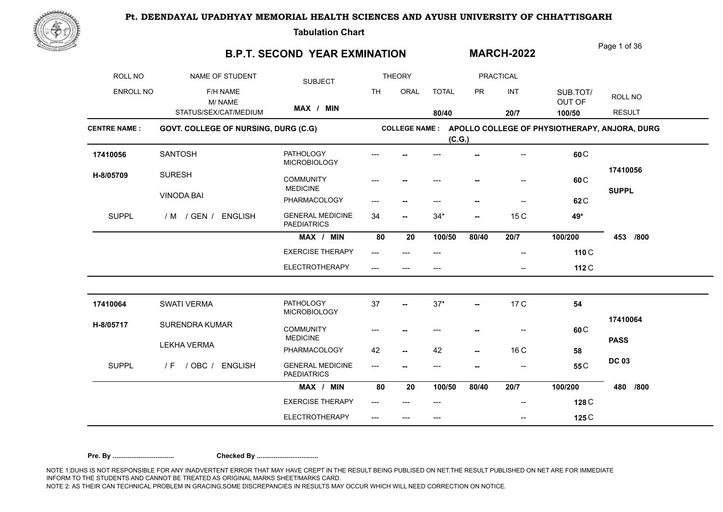

**Tabulation Chart** 

### **B.P.T. SECOND YEAR EXMINATION**

Page 1 of 36

**MARCH-2022**

| ROLL NO             | NAME OF STUDENT                      | <b>SUBJECT</b>                                |           | <b>THEORY</b>            |              |           | <b>PRACTICAL</b> |                                               |                          |
|---------------------|--------------------------------------|-----------------------------------------------|-----------|--------------------------|--------------|-----------|------------------|-----------------------------------------------|--------------------------|
| <b>ENROLL NO</b>    | F/H NAME<br>M/NAME                   |                                               | <b>TH</b> | ORAL                     | <b>TOTAL</b> | <b>PR</b> | INT              | SUB.TOT/<br>OUT OF                            | ROLL NO                  |
|                     | STATUS/SEX/CAT/MEDIUM                | MAX / MIN                                     |           |                          | 80/40        |           | 20/7             | 100/50                                        | <b>RESULT</b>            |
| <b>CENTRE NAME:</b> | GOVT. COLLEGE OF NURSING, DURG (C.G) |                                               |           | <b>COLLEGE NAME:</b>     | (C.G.)       |           |                  | APOLLO COLLEGE OF PHYSIOTHERAPY, ANJORA, DURG |                          |
| 17410056            | <b>SANTOSH</b>                       | <b>PATHOLOGY</b><br><b>MICROBIOLOGY</b>       |           |                          |              |           |                  | 60 <sub>C</sub>                               |                          |
| H-8/05709           | <b>SURESH</b>                        | <b>COMMUNITY</b><br><b>MEDICINE</b>           |           |                          |              |           |                  | 60 C                                          | 17410056<br><b>SUPPL</b> |
|                     | <b>VINODA BAI</b>                    | PHARMACOLOGY                                  |           | ⊷                        |              |           |                  | 62 <sub>C</sub>                               |                          |
| <b>SUPPL</b>        | / M / GEN / ENGLISH                  | <b>GENERAL MEDICINE</b><br><b>PAEDIATRICS</b> | 34        | $\overline{\phantom{a}}$ | $34*$        | --        | 15 C             | 49*                                           |                          |
|                     |                                      | MAX / MIN                                     | 80        | 20                       | 100/50       | 80/40     | 20/7             | 100/200                                       | 453<br>/800              |
|                     |                                      | <b>EXERCISE THERAPY</b>                       | ---       | $---$                    | $---$        |           | --               | 110 C                                         |                          |
|                     |                                      | <b>ELECTROTHERAPY</b>                         |           |                          |              |           |                  | 112 C                                         |                          |
| 17410064            | SWATI VERMA                          | <b>PATHOLOGY</b><br>MICROBIOLOGY              | 37        |                          | $37*$        | --        | 17 C             | 54                                            |                          |
| H-8/05717           | <b>SURENDRA KUMAR</b>                | <b>COMMUNITY</b><br><b>MEDICINE</b>           |           |                          |              |           | --               | 60 <sub>C</sub>                               | 17410064                 |
|                     | <b>LEKHA VERMA</b>                   | PHARMACOLOGY                                  | 42        | --                       | 42           | --        | 16 C             | 58                                            | <b>PASS</b>              |
| <b>SUPPL</b>        | / OBC / ENGLISH<br>/ F               | <b>GENERAL MEDICINE</b><br><b>PAEDIATRICS</b> | ---       |                          | ---          |           |                  | 55 <sub>C</sub>                               | <b>DC 03</b>             |
|                     |                                      | MAX / MIN                                     | 80        | 20                       | 100/50       | 80/40     | 20/7             | 100/200                                       | 480<br>/800              |
|                     |                                      | <b>EXERCISE THERAPY</b>                       | ---       |                          | ---          |           |                  | 128 C                                         |                          |
|                     |                                      | <b>ELECTROTHERAPY</b>                         | ---       | ---                      | $---$        |           | --               | 125 C                                         |                          |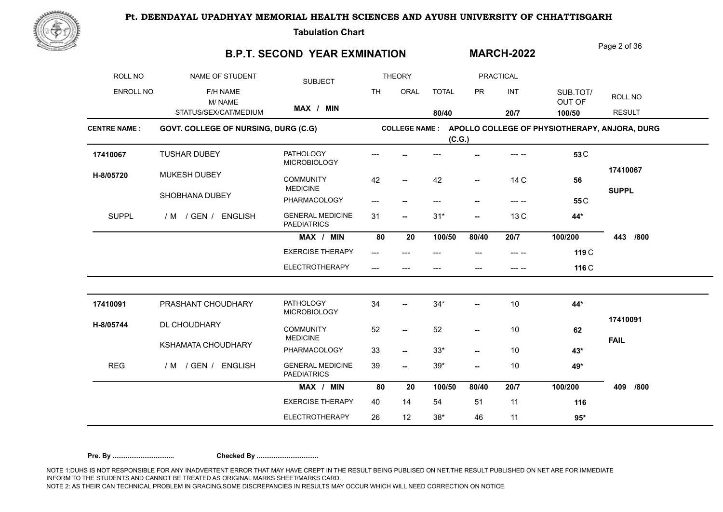

**Tabulation Chart** 

### **B.P.T. SECOND YEAR EXMINATION**

Page 2 of 36

**MARCH-2022**

| ROLL NO             | NAME OF STUDENT                      | <b>SUBJECT</b>                                |           | <b>THEORY</b>            |              |           | <b>PRACTICAL</b>                           |                                               |                         |
|---------------------|--------------------------------------|-----------------------------------------------|-----------|--------------------------|--------------|-----------|--------------------------------------------|-----------------------------------------------|-------------------------|
| ENROLL NO           | F/H NAME<br>M/NAME                   |                                               | <b>TH</b> | ORAL                     | <b>TOTAL</b> | <b>PR</b> | INT                                        | SUB.TOT/<br>OUT OF                            | ROLL NO                 |
|                     | STATUS/SEX/CAT/MEDIUM                | MAX / MIN                                     |           |                          | 80/40        |           | 20/7                                       | 100/50                                        | <b>RESULT</b>           |
| <b>CENTRE NAME:</b> | GOVT. COLLEGE OF NURSING, DURG (C.G) |                                               |           | <b>COLLEGE NAME:</b>     | (C.G.)       |           |                                            | APOLLO COLLEGE OF PHYSIOTHERAPY, ANJORA, DURG |                         |
| 17410067            | <b>TUSHAR DUBEY</b>                  | <b>PATHOLOGY</b><br><b>MICROBIOLOGY</b>       |           |                          |              |           |                                            | 53 <sub>C</sub>                               |                         |
| H-8/05720           | MUKESH DUBEY                         | <b>COMMUNITY</b><br><b>MEDICINE</b>           | 42        |                          | 42           | $-$       | 14 C                                       | 56                                            | 17410067                |
|                     | SHOBHANA DUBEY                       | PHARMACOLOGY                                  |           |                          | ---          |           | $\begin{array}{ccc} - & - & - \end{array}$ | 55 <sub>C</sub>                               | <b>SUPPL</b>            |
| <b>SUPPL</b>        | / M / GEN / ENGLISH                  | <b>GENERAL MEDICINE</b><br><b>PAEDIATRICS</b> | 31        | $\overline{\phantom{a}}$ | $31*$        | --        | 13 C                                       | 44*                                           |                         |
|                     |                                      | MAX / MIN                                     | 80        | 20                       | 100/50       | 80/40     | 20/7                                       | 100/200                                       | 443<br>/800             |
|                     |                                      | <b>EXERCISE THERAPY</b>                       | $---$     |                          | ---          | ---       |                                            | 119 C                                         |                         |
|                     |                                      | <b>ELECTROTHERAPY</b>                         | ---       | $---$                    | ---          | ---       | --- --                                     | 116 C                                         |                         |
| 17410091            | PRASHANT CHOUDHARY                   | <b>PATHOLOGY</b><br><b>MICROBIOLOGY</b>       | 34        | --                       | $34*$        | --        | 10                                         | 44*                                           |                         |
| H-8/05744           | DL CHOUDHARY                         | <b>COMMUNITY</b><br><b>MEDICINE</b>           | 52        | $\overline{\phantom{a}}$ | 52           | --        | 10                                         | 62                                            | 17410091<br><b>FAIL</b> |
|                     | KSHAMATA CHOUDHARY                   | PHARMACOLOGY                                  | 33        | $\overline{\phantom{a}}$ | $33*$        | --        | 10                                         | $43*$                                         |                         |
| <b>REG</b>          | / M / GEN / ENGLISH                  | <b>GENERAL MEDICINE</b><br><b>PAEDIATRICS</b> | 39        | −−                       | $39*$        | --        | 10                                         | 49*                                           |                         |
|                     |                                      | MAX / MIN                                     | 80        | 20                       | 100/50       | 80/40     | 20/7                                       | 100/200                                       | 409<br>/800             |
|                     |                                      | <b>EXERCISE THERAPY</b>                       | 40        | 14                       | 54           | 51        | 11                                         | 116                                           |                         |
|                     |                                      | <b>ELECTROTHERAPY</b>                         | 26        | 12                       | $38*$        | 46        | 11                                         | $95*$                                         |                         |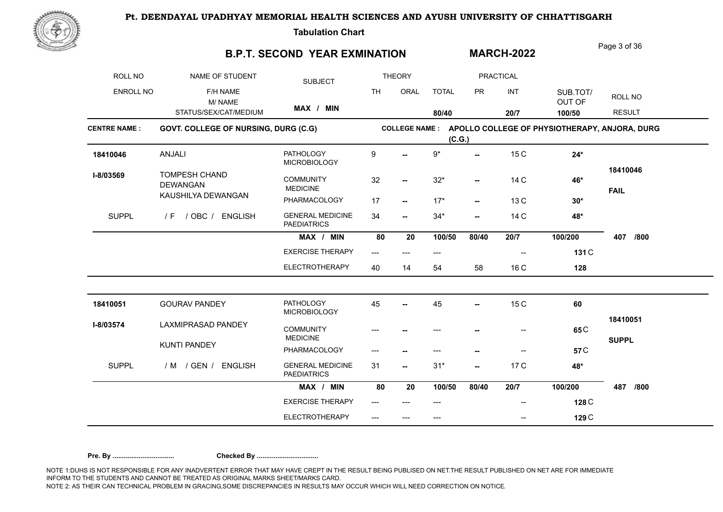

**Tabulation Chart** 

## **B.P.T. SECOND YEAR EXMINATION**

Page 3 of 36

**MARCH-2022**

| <b>ROLL NO</b>      | NAME OF STUDENT                         | <b>SUBJECT</b>                                |           | <b>THEORY</b>            |              |                          | PRACTICAL              |                                               |                         |
|---------------------|-----------------------------------------|-----------------------------------------------|-----------|--------------------------|--------------|--------------------------|------------------------|-----------------------------------------------|-------------------------|
| <b>ENROLL NO</b>    | F/H NAME<br>M/NAME                      |                                               | <b>TH</b> | ORAL                     | <b>TOTAL</b> | <b>PR</b>                | INT                    | SUB.TOT/<br>OUT OF                            | ROLL NO                 |
|                     | STATUS/SEX/CAT/MEDIUM                   | MAX / MIN                                     |           |                          | 80/40        |                          | 20/7                   | 100/50                                        | <b>RESULT</b>           |
| <b>CENTRE NAME:</b> | GOVT. COLLEGE OF NURSING, DURG (C.G)    |                                               |           | <b>COLLEGE NAME:</b>     | (C.G.)       |                          |                        | APOLLO COLLEGE OF PHYSIOTHERAPY, ANJORA, DURG |                         |
| 18410046            | ANJALI                                  | <b>PATHOLOGY</b><br><b>MICROBIOLOGY</b>       | 9         |                          | $9^{\star}$  | $\overline{\phantom{a}}$ | 15 C                   | $24*$                                         |                         |
| I-8/03569           | <b>TOMPESH CHAND</b><br><b>DEWANGAN</b> | <b>COMMUNITY</b><br><b>MEDICINE</b>           | 32        | $\overline{\phantom{a}}$ | $32*$        | $\overline{\phantom{a}}$ | 14 C                   | 46*                                           | 18410046<br><b>FAIL</b> |
|                     | KAUSHILYA DEWANGAN                      | PHARMACOLOGY                                  | 17        | $\overline{\phantom{a}}$ | $17*$        | --                       | 13 C                   | $30*$                                         |                         |
| <b>SUPPL</b>        | / OBC / ENGLISH<br>/ F                  | <b>GENERAL MEDICINE</b><br><b>PAEDIATRICS</b> | 34        | $\overline{\phantom{a}}$ | $34*$        | --                       | 14 C                   | 48*                                           |                         |
|                     |                                         | MAX / MIN                                     | 80        | 20                       | 100/50       | 80/40                    | 20/7                   | 100/200                                       | 407<br>/800             |
|                     |                                         | <b>EXERCISE THERAPY</b>                       | $---$     | $---$                    | ---          |                          | --                     | 131 C                                         |                         |
|                     |                                         | ELECTROTHERAPY                                | 40        | 14                       | 54           | 58                       | 16 C                   | 128                                           |                         |
| 18410051            | <b>GOURAV PANDEY</b>                    | <b>PATHOLOGY</b><br><b>MICROBIOLOGY</b>       | 45        |                          | 45           | --                       | 15 C                   | 60                                            |                         |
| I-8/03574           | <b>LAXMIPRASAD PANDEY</b>               | <b>COMMUNITY</b><br><b>MEDICINE</b>           |           |                          | ---          |                          | --                     | 65 <sub>C</sub>                               | 18410051                |
|                     | <b>KUNTI PANDEY</b>                     | PHARMACOLOGY                                  | ---       |                          | ---          | --                       | $\qquad \qquad \cdots$ | 57 <sub>C</sub>                               | <b>SUPPL</b>            |
| <b>SUPPL</b>        | / M / GEN /<br><b>ENGLISH</b>           | <b>GENERAL MEDICINE</b><br><b>PAEDIATRICS</b> | 31        | −−                       | $31*$        | --                       | 17 C                   | 48*                                           |                         |
|                     |                                         | MAX / MIN                                     | 80        | 20                       | 100/50       | 80/40                    | 20/7                   | 100/200                                       | 487<br>/800             |
|                     |                                         | <b>EXERCISE THERAPY</b>                       |           |                          |              |                          |                        | 128 C                                         |                         |
|                     |                                         | <b>ELECTROTHERAPY</b>                         |           |                          | ---          |                          | --                     | 129 C                                         |                         |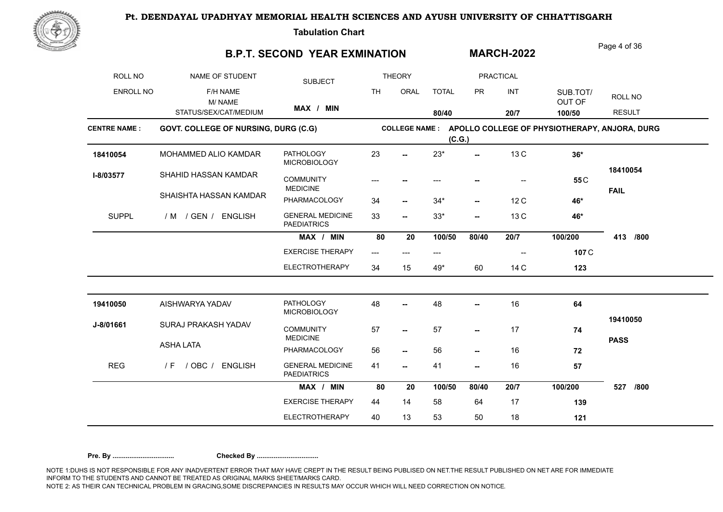

**Tabulation Chart** 

### **B.P.T. SECOND YEAR EXMINATION**

Page 4 of 36

**MARCH-2022**

| ROLL NO             | NAME OF STUDENT                      | <b>SUBJECT</b>                                |                         | <b>THEORY</b>            |              |           | <b>PRACTICAL</b>         |                                               |                         |
|---------------------|--------------------------------------|-----------------------------------------------|-------------------------|--------------------------|--------------|-----------|--------------------------|-----------------------------------------------|-------------------------|
| <b>ENROLL NO</b>    | F/H NAME<br>M/NAME                   |                                               | <b>TH</b>               | ORAL                     | <b>TOTAL</b> | <b>PR</b> | INT                      | SUB.TOT/<br>OUT OF                            | ROLL NO                 |
|                     | STATUS/SEX/CAT/MEDIUM                | MAX / MIN                                     |                         |                          | 80/40        |           | 20/7                     | 100/50                                        | <b>RESULT</b>           |
| <b>CENTRE NAME:</b> | GOVT. COLLEGE OF NURSING, DURG (C.G) |                                               |                         | <b>COLLEGE NAME :</b>    | (C.G.)       |           |                          | APOLLO COLLEGE OF PHYSIOTHERAPY, ANJORA, DURG |                         |
| 18410054            | MOHAMMED ALIO KAMDAR                 | <b>PATHOLOGY</b><br>MICROBIOLOGY              | 23                      |                          | $23*$        | Ξ.        | 13 C                     | $36*$                                         |                         |
| I-8/03577           | SHAHID HASSAN KAMDAR                 | <b>COMMUNITY</b><br><b>MEDICINE</b>           | ---                     |                          | ---          |           |                          | 55 <sub>C</sub>                               | 18410054                |
|                     | SHAISHTA HASSAN KAMDAR               | PHARMACOLOGY                                  | 34                      | $\overline{\phantom{a}}$ | $34*$        | --        | 12C                      | 46*                                           | <b>FAIL</b>             |
| <b>SUPPL</b>        | / M / GEN / ENGLISH                  | <b>GENERAL MEDICINE</b><br><b>PAEDIATRICS</b> | 33                      | $\overline{\phantom{a}}$ | $33*$        | --        | 13 C                     | 46*                                           |                         |
|                     |                                      | MAX / MIN                                     | 80                      | 20                       | 100/50       | 80/40     | 20/7                     | 100/200                                       | 413<br>/800             |
|                     |                                      | <b>EXERCISE THERAPY</b>                       | $\qquad \qquad -\qquad$ | ---                      | $---$        |           | $\overline{\phantom{a}}$ | 107 C                                         |                         |
|                     |                                      | <b>ELECTROTHERAPY</b>                         | 34                      | 15                       | 49*          | 60        | 14 C                     | 123                                           |                         |
| 19410050            | AISHWARYA YADAV                      | <b>PATHOLOGY</b><br><b>MICROBIOLOGY</b>       | 48                      |                          | 48           |           | 16                       | 64                                            |                         |
| J-8/01661           | SURAJ PRAKASH YADAV                  | <b>COMMUNITY</b><br><b>MEDICINE</b>           | 57                      | −−                       | 57           | --        | 17                       | 74                                            | 19410050<br><b>PASS</b> |
|                     | <b>ASHA LATA</b>                     | PHARMACOLOGY                                  | 56                      | $\overline{\phantom{a}}$ | 56           | --        | 16                       | 72                                            |                         |
| <b>REG</b>          | $/$ OBC $/$<br><b>ENGLISH</b><br>/ F | <b>GENERAL MEDICINE</b><br><b>PAEDIATRICS</b> | 41                      | --                       | 41           | --        | 16                       | 57                                            |                         |
|                     |                                      | MAX / MIN                                     | 80                      | 20                       | 100/50       | 80/40     | 20/7                     | 100/200                                       | /800<br>527             |
|                     |                                      | <b>EXERCISE THERAPY</b>                       | 44                      | 14                       | 58           | 64        | 17                       | 139                                           |                         |
|                     |                                      | <b>ELECTROTHERAPY</b>                         | 40                      | 13                       | 53           | 50        | 18                       | 121                                           |                         |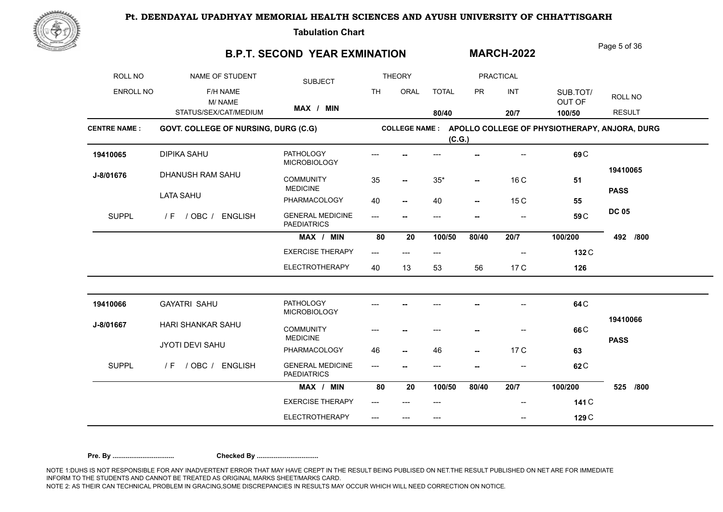

**Tabulation Chart** 

## **B.P.T. SECOND YEAR EXMINATION**

Page 5 of 36

**MARCH-2022**

| <b>ROLL NO</b>      | NAME OF STUDENT                      | <b>SUBJECT</b>                                |           | <b>THEORY</b>         |              |           | PRACTICAL                |                                               |               |
|---------------------|--------------------------------------|-----------------------------------------------|-----------|-----------------------|--------------|-----------|--------------------------|-----------------------------------------------|---------------|
| ENROLL NO           | F/H NAME<br>M/NAME                   |                                               | <b>TH</b> | ORAL                  | <b>TOTAL</b> | <b>PR</b> | INT                      | SUB.TOT/<br>OUT OF                            | ROLL NO       |
|                     | STATUS/SEX/CAT/MEDIUM                | MAX / MIN                                     |           |                       | 80/40        |           | 20/7                     | 100/50                                        | <b>RESULT</b> |
| <b>CENTRE NAME:</b> | GOVT. COLLEGE OF NURSING, DURG (C.G) |                                               |           | <b>COLLEGE NAME :</b> | (C.G.)       |           |                          | APOLLO COLLEGE OF PHYSIOTHERAPY, ANJORA, DURG |               |
| 19410065            | DIPIKA SAHU                          | <b>PATHOLOGY</b><br><b>MICROBIOLOGY</b>       |           |                       |              |           |                          | 69 <sub>C</sub>                               |               |
| J-8/01676           | DHANUSH RAM SAHU                     | <b>COMMUNITY</b><br><b>MEDICINE</b>           | 35        | −−                    | $35*$        | --        | 16 C                     | 51                                            | 19410065      |
|                     | <b>LATA SAHU</b>                     | PHARMACOLOGY                                  | 40        | ⊷                     | 40           | --        | 15 C                     | 55                                            | <b>PASS</b>   |
| <b>SUPPL</b>        | $/F$ / OBC /<br><b>ENGLISH</b>       | <b>GENERAL MEDICINE</b><br><b>PAEDIATRICS</b> | $---$     |                       | ---          | ۰.        | $\overline{\phantom{a}}$ | 59 <sub>C</sub>                               | <b>DC 05</b>  |
|                     |                                      | MAX / MIN                                     | 80        | 20                    | 100/50       | 80/40     | 20/7                     | 100/200                                       | /800<br>492   |
|                     |                                      | <b>EXERCISE THERAPY</b>                       | ---       | ---                   | ---          |           |                          | 132 C                                         |               |
|                     |                                      | <b>ELECTROTHERAPY</b>                         | 40        | 13                    | 53           | 56        | 17 C                     | 126                                           |               |
| 19410066            | <b>GAYATRI SAHU</b>                  | <b>PATHOLOGY</b><br><b>MICROBIOLOGY</b>       |           |                       |              |           |                          | 64 <sub>C</sub>                               |               |
| J-8/01667           | HARI SHANKAR SAHU                    | <b>COMMUNITY</b><br><b>MEDICINE</b>           |           |                       |              |           | --                       | 66 <sub>C</sub>                               | 19410066      |
|                     | JYOTI DEVI SAHU                      | PHARMACOLOGY                                  | 46        | --                    | 46           | --        | 17 C                     | 63                                            | <b>PASS</b>   |
| <b>SUPPL</b>        | / F / OBC / ENGLISH                  | <b>GENERAL MEDICINE</b><br><b>PAEDIATRICS</b> | $---$     |                       | ---          |           | $-$                      | 62 <sub>C</sub>                               |               |
|                     |                                      | MAX / MIN                                     | 80        | 20                    | 100/50       | 80/40     | 20/7                     | 100/200                                       | 525<br>/800   |
|                     |                                      | <b>EXERCISE THERAPY</b>                       |           |                       |              |           |                          | 141 C                                         |               |
|                     |                                      | <b>ELECTROTHERAPY</b>                         | ---       |                       | ---          |           | --                       | 129 C                                         |               |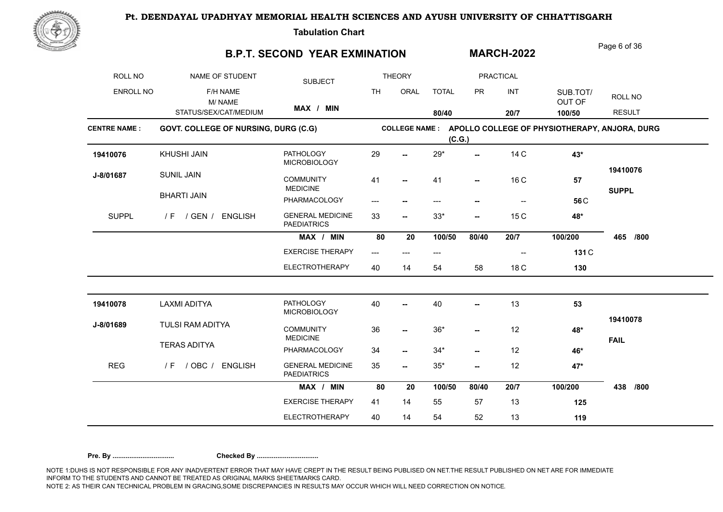

**Tabulation Chart** 

## **B.P.T. SECOND YEAR EXMINATION**

Page 6 of 36

**MARCH-2022**

| ROLL NO             | NAME OF STUDENT                      | <b>SUBJECT</b>                                |           | <b>THEORY</b>            |              |                          | <b>PRACTICAL</b> |                                               |                         |
|---------------------|--------------------------------------|-----------------------------------------------|-----------|--------------------------|--------------|--------------------------|------------------|-----------------------------------------------|-------------------------|
| ENROLL NO           | F/H NAME<br>M/NAME                   |                                               | <b>TH</b> | ORAL                     | <b>TOTAL</b> | <b>PR</b>                | INT              | SUB.TOT/<br>OUT OF                            | ROLL NO                 |
|                     | STATUS/SEX/CAT/MEDIUM                | MAX / MIN                                     |           |                          | 80/40        |                          | 20/7             | 100/50                                        | <b>RESULT</b>           |
| <b>CENTRE NAME:</b> | GOVT. COLLEGE OF NURSING, DURG (C.G) |                                               |           | <b>COLLEGE NAME:</b>     | (C.G.)       |                          |                  | APOLLO COLLEGE OF PHYSIOTHERAPY, ANJORA, DURG |                         |
| 19410076            | KHUSHI JAIN                          | <b>PATHOLOGY</b><br><b>MICROBIOLOGY</b>       | 29        | $\overline{a}$           | $29*$        | $\overline{\phantom{a}}$ | 14 C             | 43*                                           |                         |
| J-8/01687           | <b>SUNIL JAIN</b>                    | <b>COMMUNITY</b><br><b>MEDICINE</b>           | 41        | --                       | 41           |                          | 16 C             | 57                                            | 19410076                |
|                     | <b>BHARTI JAIN</b>                   | PHARMACOLOGY                                  |           | ⊷                        | ---          |                          |                  | 56 <sub>C</sub>                               | <b>SUPPL</b>            |
| <b>SUPPL</b>        | / F / GEN / ENGLISH                  | <b>GENERAL MEDICINE</b><br><b>PAEDIATRICS</b> | 33        | $\overline{\phantom{a}}$ | $33*$        | --                       | 15 C             | 48*                                           |                         |
|                     |                                      | MAX / MIN                                     | 80        | 20                       | 100/50       | 80/40                    | 20/7             | 100/200                                       | 465<br>/800             |
|                     |                                      | <b>EXERCISE THERAPY</b>                       | ---       | $---$                    | ---          |                          |                  | 131 C                                         |                         |
|                     |                                      | <b>ELECTROTHERAPY</b>                         | 40        | 14                       | 54           | 58                       | 18 C             | 130                                           |                         |
| 19410078            | LAXMI ADITYA                         | <b>PATHOLOGY</b><br><b>MICROBIOLOGY</b>       | 40        | --                       | 40           | --                       | 13               | 53                                            |                         |
| J-8/01689           | TULSI RAM ADITYA                     | <b>COMMUNITY</b><br><b>MEDICINE</b>           | 36        | −−                       | $36*$        | --                       | 12               | 48*                                           | 19410078<br><b>FAIL</b> |
|                     | <b>TERAS ADITYA</b>                  | PHARMACOLOGY                                  | 34        | $\overline{\phantom{a}}$ | $34*$        | --                       | 12               | 46*                                           |                         |
| <b>REG</b>          | / OBC / ENGLISH<br>/ F               | <b>GENERAL MEDICINE</b><br><b>PAEDIATRICS</b> | 35        | $\overline{\phantom{a}}$ | $35^{\ast}$  | --                       | 12               | 47*                                           |                         |
|                     |                                      | MAX / MIN                                     | 80        | 20                       | 100/50       | 80/40                    | 20/7             | 100/200                                       | 438<br>/800             |
|                     |                                      | <b>EXERCISE THERAPY</b>                       | 41        | 14                       | 55           | 57                       | 13               | 125                                           |                         |
|                     |                                      | <b>ELECTROTHERAPY</b>                         | 40        | 14                       | 54           | 52                       | 13               | 119                                           |                         |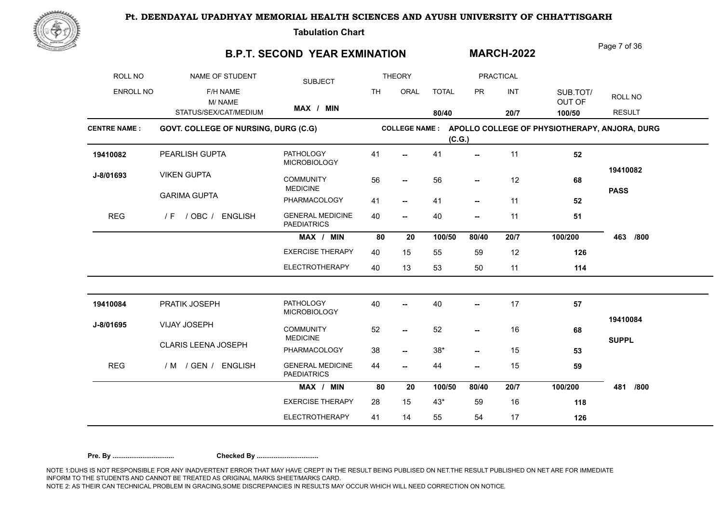

**Tabulation Chart** 

### **B.P.T. SECOND YEAR EXMINATION**

Page 7 of 36

**MARCH-2022**

| ROLL NO             | NAME OF STUDENT                      | <b>SUBJECT</b>                                |           | <b>THEORY</b>            |              |           | <b>PRACTICAL</b> |                                               |               |
|---------------------|--------------------------------------|-----------------------------------------------|-----------|--------------------------|--------------|-----------|------------------|-----------------------------------------------|---------------|
| <b>ENROLL NO</b>    | F/H NAME<br>M/NAME                   |                                               | <b>TH</b> | ORAL                     | <b>TOTAL</b> | <b>PR</b> | INT              | SUB.TOT/<br>OUT OF                            | ROLL NO       |
|                     | STATUS/SEX/CAT/MEDIUM                | MAX / MIN                                     |           |                          | 80/40        |           | 20/7             | 100/50                                        | <b>RESULT</b> |
| <b>CENTRE NAME:</b> | GOVT. COLLEGE OF NURSING, DURG (C.G) |                                               |           | <b>COLLEGE NAME :</b>    | (C.G.)       |           |                  | APOLLO COLLEGE OF PHYSIOTHERAPY, ANJORA, DURG |               |
| 19410082            | PEARLISH GUPTA                       | <b>PATHOLOGY</b><br><b>MICROBIOLOGY</b>       | 41        |                          | 41           | --        | 11               | 52                                            |               |
| J-8/01693           | <b>VIKEN GUPTA</b>                   | <b>COMMUNITY</b><br><b>MEDICINE</b>           | 56        | −−                       | 56           | --        | 12               | 68                                            | 19410082      |
|                     | <b>GARIMA GUPTA</b>                  | PHARMACOLOGY                                  | 41        | $\overline{\phantom{a}}$ | 41           | --        | 11               | 52                                            | <b>PASS</b>   |
| <b>REG</b>          | / OBC / ENGLISH<br>/ F               | <b>GENERAL MEDICINE</b><br><b>PAEDIATRICS</b> | 40        | $\overline{\phantom{a}}$ | 40           | --        | 11               | 51                                            |               |
|                     |                                      | MAX / MIN                                     | 80        | 20                       | 100/50       | 80/40     | 20/7             | 100/200                                       | 463<br>/800   |
|                     |                                      | <b>EXERCISE THERAPY</b>                       | 40        | 15                       | 55           | 59        | 12               | 126                                           |               |
|                     |                                      | ELECTROTHERAPY                                | 40        | 13                       | 53           | 50        | 11               | 114                                           |               |
| 19410084            | PRATIK JOSEPH                        | <b>PATHOLOGY</b><br><b>MICROBIOLOGY</b>       | 40        |                          | 40           | --        | 17               | 57                                            |               |
| J-8/01695           | VIJAY JOSEPH                         | <b>COMMUNITY</b><br><b>MEDICINE</b>           | 52        | ⊷                        | 52           | --        | 16               | 68                                            | 19410084      |
|                     | CLARIS LEENA JOSEPH                  | PHARMACOLOGY                                  | 38        | $\overline{\phantom{a}}$ | $38^{\star}$ | --        | 15               | 53                                            | <b>SUPPL</b>  |
| <b>REG</b>          | / M / GEN / ENGLISH                  | <b>GENERAL MEDICINE</b><br><b>PAEDIATRICS</b> | 44        | $\overline{\phantom{a}}$ | 44           | --        | 15               | 59                                            |               |
|                     |                                      | MAX / MIN                                     | 80        | 20                       | 100/50       | 80/40     | 20/7             | 100/200                                       | /800<br>481   |
|                     |                                      | <b>EXERCISE THERAPY</b>                       | 28        | 15                       | $43*$        | 59        | 16               | 118                                           |               |
|                     |                                      | <b>ELECTROTHERAPY</b>                         | 41        | 14                       | 55           | 54        | 17               | 126                                           |               |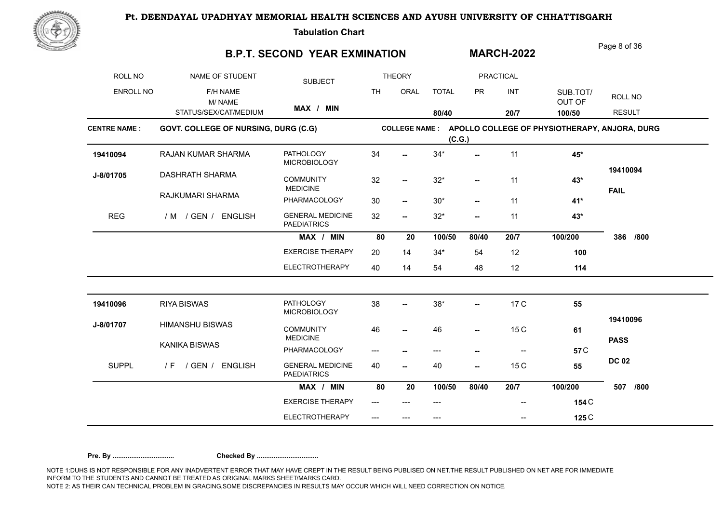

**Tabulation Chart** 

### **B.P.T. SECOND YEAR EXMINATION**

Page 8 of 36

**MARCH-2022**

| ROLL NO             | NAME OF STUDENT                      | <b>SUBJECT</b>                                |           | <b>THEORY</b>            |              |                          | <b>PRACTICAL</b>         |                                                              |                         |
|---------------------|--------------------------------------|-----------------------------------------------|-----------|--------------------------|--------------|--------------------------|--------------------------|--------------------------------------------------------------|-------------------------|
| <b>ENROLL NO</b>    | F/H NAME<br>M/NAME                   |                                               | <b>TH</b> | ORAL                     | <b>TOTAL</b> | <b>PR</b>                | INT                      | SUB.TOT/<br>OUT OF                                           | ROLL NO                 |
|                     | STATUS/SEX/CAT/MEDIUM                | MAX / MIN                                     |           |                          | 80/40        |                          | 20/7                     | 100/50                                                       | <b>RESULT</b>           |
| <b>CENTRE NAME:</b> | GOVT. COLLEGE OF NURSING, DURG (C.G) |                                               |           |                          | (C.G.)       |                          |                          | COLLEGE NAME : APOLLO COLLEGE OF PHYSIOTHERAPY, ANJORA, DURG |                         |
| 19410094            | <b>RAJAN KUMAR SHARMA</b>            | <b>PATHOLOGY</b><br><b>MICROBIOLOGY</b>       | 34        |                          | $34*$        | --                       | 11                       | 45*                                                          |                         |
| J-8/01705           | <b>DASHRATH SHARMA</b>               | <b>COMMUNITY</b><br><b>MEDICINE</b>           | 32        | $\overline{\phantom{a}}$ | $32*$        | --                       | 11                       | $43*$                                                        | 19410094<br><b>FAIL</b> |
|                     | RAJKUMARI SHARMA                     | PHARMACOLOGY                                  | 30        | $\overline{\phantom{a}}$ | $30*$        | $\overline{\phantom{a}}$ | 11                       | 41*                                                          |                         |
| <b>REG</b>          | / M / GEN / ENGLISH                  | <b>GENERAL MEDICINE</b><br><b>PAEDIATRICS</b> | 32        | $\overline{\phantom{a}}$ | $32*$        | $\overline{\phantom{a}}$ | 11                       | $43*$                                                        |                         |
|                     |                                      | MAX / MIN                                     | 80        | 20                       | 100/50       | 80/40                    | 20/7                     | 100/200                                                      | 386<br>/800             |
|                     |                                      | <b>EXERCISE THERAPY</b>                       | 20        | 14                       | $34*$        | 54                       | 12                       | 100                                                          |                         |
|                     |                                      | <b>ELECTROTHERAPY</b>                         | 40        | 14                       | 54           | 48                       | 12                       | 114                                                          |                         |
| 19410096            | <b>RIYA BISWAS</b>                   | <b>PATHOLOGY</b><br><b>MICROBIOLOGY</b>       | 38        | −−                       | $38*$        | --                       | 17 C                     | 55                                                           |                         |
| J-8/01707           | <b>HIMANSHU BISWAS</b>               | <b>COMMUNITY</b><br><b>MEDICINE</b>           | 46        | $-$                      | 46           | --                       | 15 C                     | 61                                                           | 19410096                |
|                     | <b>KANIKA BISWAS</b>                 | PHARMACOLOGY                                  |           | $\overline{\phantom{a}}$ | $---$        | --                       | $\overline{\phantom{a}}$ | 57 <sub>C</sub>                                              | <b>PASS</b>             |
| <b>SUPPL</b>        | / GEN / ENGLISH<br>/F                | <b>GENERAL MEDICINE</b><br><b>PAEDIATRICS</b> | 40        | $\sim$                   | 40           | --                       | 15 C                     | 55                                                           | <b>DC 02</b>            |
|                     |                                      | MAX / MIN                                     | 80        | 20                       | 100/50       | 80/40                    | 20/7                     | 100/200                                                      | 507<br>/800             |
|                     |                                      | <b>EXERCISE THERAPY</b>                       | $---$     |                          | ---          |                          | $\qquad \qquad \cdots$   | 154 C                                                        |                         |
|                     |                                      | <b>ELECTROTHERAPY</b>                         |           | ---                      | ---          |                          | --                       | 125 C                                                        |                         |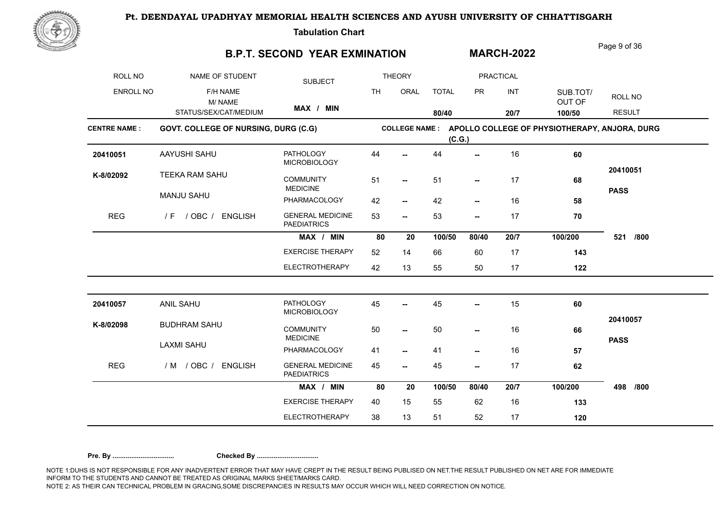

**Tabulation Chart** 

### **B.P.T. SECOND YEAR EXMINATION**

Page 9 of 36

**MARCH-2022**

| ROLL NO             | NAME OF STUDENT                      | <b>SUBJECT</b>                                |           | <b>THEORY</b>            |              |                          | <b>PRACTICAL</b> |                                               |               |
|---------------------|--------------------------------------|-----------------------------------------------|-----------|--------------------------|--------------|--------------------------|------------------|-----------------------------------------------|---------------|
| <b>ENROLL NO</b>    | F/H NAME<br>M/NAME                   |                                               | <b>TH</b> | ORAL                     | <b>TOTAL</b> | <b>PR</b>                | INT              | SUB.TOT/<br>OUT OF                            | ROLL NO       |
|                     | STATUS/SEX/CAT/MEDIUM                | MAX / MIN                                     |           |                          | 80/40        |                          | 20/7             | 100/50                                        | <b>RESULT</b> |
| <b>CENTRE NAME:</b> | GOVT. COLLEGE OF NURSING, DURG (C.G) |                                               |           | <b>COLLEGE NAME:</b>     | (C.G.)       |                          |                  | APOLLO COLLEGE OF PHYSIOTHERAPY, ANJORA, DURG |               |
| 20410051            | AAYUSHI SAHU                         | <b>PATHOLOGY</b><br><b>MICROBIOLOGY</b>       | 44        |                          | 44           | --                       | 16               | 60                                            |               |
| K-8/02092           | TEEKA RAM SAHU                       | <b>COMMUNITY</b><br><b>MEDICINE</b>           | 51        | --                       | 51           | --                       | 17               | 68                                            | 20410051      |
|                     | <b>MANJU SAHU</b>                    | PHARMACOLOGY                                  | 42        | $\overline{\phantom{a}}$ | 42           | --                       | 16               | 58                                            | <b>PASS</b>   |
| <b>REG</b>          | / F / OBC / ENGLISH                  | <b>GENERAL MEDICINE</b><br><b>PAEDIATRICS</b> | 53        | $\overline{\phantom{a}}$ | 53           | $\overline{\phantom{a}}$ | 17               | 70                                            |               |
|                     |                                      | MAX / MIN                                     | 80        | 20                       | 100/50       | 80/40                    | 20/7             | 100/200                                       | /800<br>521   |
|                     |                                      | <b>EXERCISE THERAPY</b>                       | 52        | 14                       | 66           | 60                       | 17               | 143                                           |               |
|                     |                                      | <b>ELECTROTHERAPY</b>                         | 42        | 13                       | 55           | 50                       | 17               | 122                                           |               |
| 20410057            | <b>ANIL SAHU</b>                     | <b>PATHOLOGY</b><br><b>MICROBIOLOGY</b>       | 45        |                          | 45           | --                       | 15               | 60                                            |               |
| K-8/02098           | <b>BUDHRAM SAHU</b>                  | <b>COMMUNITY</b><br><b>MEDICINE</b>           | 50        | $\sim$                   | 50           | --                       | 16               | 66                                            | 20410057      |
|                     | <b>LAXMI SAHU</b>                    | PHARMACOLOGY                                  | 41        | $\overline{\phantom{a}}$ | 41           | $\overline{\phantom{a}}$ | 16               | 57                                            | <b>PASS</b>   |
| <b>REG</b>          | / M / OBC / ENGLISH                  | <b>GENERAL MEDICINE</b><br><b>PAEDIATRICS</b> | 45        | --                       | 45           | --                       | 17               | 62                                            |               |
|                     |                                      | MAX / MIN                                     | 80        | 20                       | 100/50       | 80/40                    | 20/7             | 100/200                                       | 498<br>/800   |
|                     |                                      | <b>EXERCISE THERAPY</b>                       | 40        | 15                       | 55           | 62                       | 16               | 133                                           |               |
|                     |                                      | <b>ELECTROTHERAPY</b>                         | 38        | 13                       | 51           | 52                       | 17               | 120                                           |               |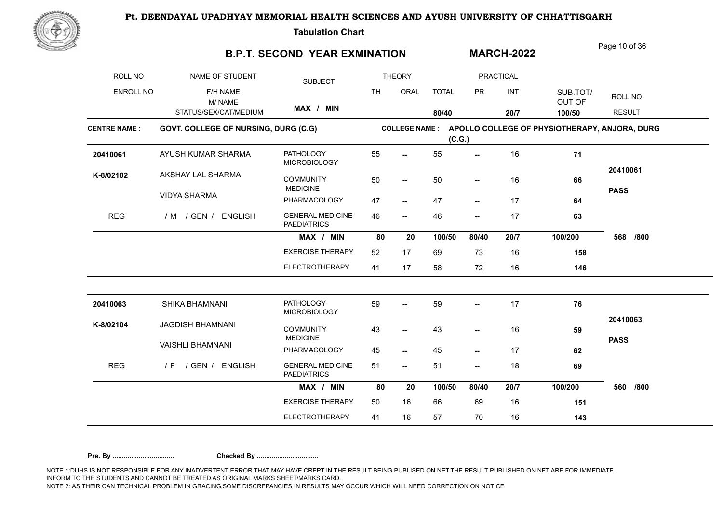

**Tabulation Chart** 

### **B.P.T. SECOND YEAR EXMINATION**

Page 10 of 36

**MARCH-2022**

| ROLL NO             | NAME OF STUDENT                      | <b>SUBJECT</b>                                |           | <b>THEORY</b>            |              |           | <b>PRACTICAL</b> |                                               |               |
|---------------------|--------------------------------------|-----------------------------------------------|-----------|--------------------------|--------------|-----------|------------------|-----------------------------------------------|---------------|
| ENROLL NO           | F/H NAME<br>M/NAME                   |                                               | <b>TH</b> | ORAL                     | <b>TOTAL</b> | <b>PR</b> | INT              | SUB.TOT/<br>OUT OF                            | ROLL NO       |
|                     | STATUS/SEX/CAT/MEDIUM                | MAX / MIN                                     |           |                          | 80/40        |           | 20/7             | 100/50                                        | <b>RESULT</b> |
| <b>CENTRE NAME:</b> | GOVT. COLLEGE OF NURSING, DURG (C.G) |                                               |           | <b>COLLEGE NAME :</b>    | (C.G.)       |           |                  | APOLLO COLLEGE OF PHYSIOTHERAPY, ANJORA, DURG |               |
| 20410061            | AYUSH KUMAR SHARMA                   | <b>PATHOLOGY</b><br><b>MICROBIOLOGY</b>       | 55        | $\overline{\phantom{a}}$ | 55           | --        | 16               | 71                                            |               |
| K-8/02102           | AKSHAY LAL SHARMA                    | <b>COMMUNITY</b><br><b>MEDICINE</b>           | 50        | -−                       | 50           | --        | 16               | 66                                            | 20410061      |
|                     | <b>VIDYA SHARMA</b>                  | PHARMACOLOGY                                  | 47        | $\overline{\phantom{a}}$ | 47           | --        | 17               | 64                                            | <b>PASS</b>   |
| <b>REG</b>          | / M / GEN / ENGLISH                  | <b>GENERAL MEDICINE</b><br><b>PAEDIATRICS</b> | 46        | $\overline{\phantom{a}}$ | 46           | --        | 17               | 63                                            |               |
|                     |                                      | MAX / MIN                                     | 80        | 20                       | 100/50       | 80/40     | 20/7             | 100/200                                       | 568<br>/800   |
|                     |                                      | <b>EXERCISE THERAPY</b>                       | 52        | 17                       | 69           | 73        | 16               | 158                                           |               |
|                     |                                      | <b>ELECTROTHERAPY</b>                         | 41        | 17                       | 58           | 72        | 16               | 146                                           |               |
| 20410063            | <b>ISHIKA BHAMNANI</b>               | <b>PATHOLOGY</b><br><b>MICROBIOLOGY</b>       | 59        | $\overline{a}$           | 59           | --        | 17               | 76                                            |               |
| K-8/02104           | <b>JAGDISH BHAMNANI</b>              | <b>COMMUNITY</b><br><b>MEDICINE</b>           | 43        | --                       | 43           | --        | 16               | 59                                            | 20410063      |
|                     | <b>VAISHLI BHAMNANI</b>              | PHARMACOLOGY                                  | 45        | −−                       | 45           | --        | 17               | 62                                            | <b>PASS</b>   |
| <b>REG</b>          | / GEN / ENGLISH<br>/ F               | <b>GENERAL MEDICINE</b><br><b>PAEDIATRICS</b> | 51        | --                       | 51           | --        | 18               | 69                                            |               |
|                     |                                      | MAX / MIN                                     | 80        | 20                       | 100/50       | 80/40     | 20/7             | 100/200                                       | 560<br>/800   |
|                     |                                      | <b>EXERCISE THERAPY</b>                       | 50        | 16                       | 66           | 69        | 16               | 151                                           |               |
|                     |                                      | <b>ELECTROTHERAPY</b>                         | 41        | 16                       | 57           | 70        | 16               | 143                                           |               |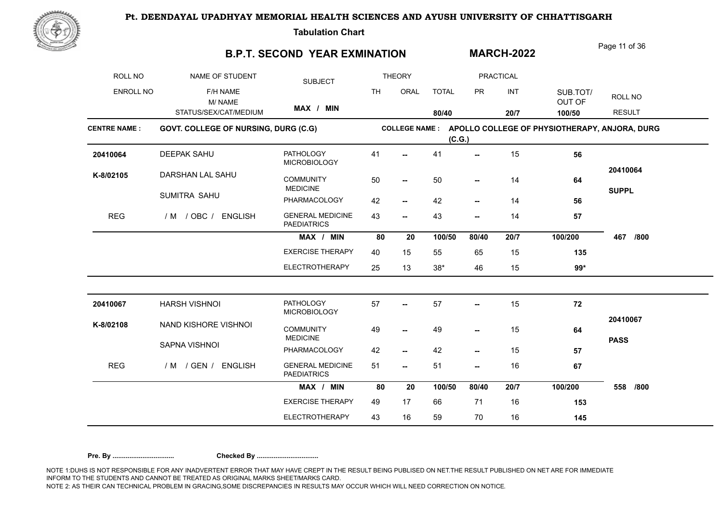

**Tabulation Chart** 

### **B.P.T. SECOND YEAR EXMINATION**

Page 11 of 36

**MARCH-2022**

| <b>ROLL NO</b>      | NAME OF STUDENT                      | <b>SUBJECT</b>                                             |           | <b>THEORY</b>            |              |                          | <b>PRACTICAL</b> |                                               |               |
|---------------------|--------------------------------------|------------------------------------------------------------|-----------|--------------------------|--------------|--------------------------|------------------|-----------------------------------------------|---------------|
| <b>ENROLL NO</b>    | F/H NAME<br>M/NAME                   |                                                            | <b>TH</b> | ORAL                     | <b>TOTAL</b> | <b>PR</b>                | INT              | SUB.TOT/<br>OUT OF                            | ROLL NO       |
|                     | STATUS/SEX/CAT/MEDIUM                | MAX / MIN                                                  |           |                          | 80/40        |                          | 20/7             | 100/50                                        | <b>RESULT</b> |
| <b>CENTRE NAME:</b> | GOVT. COLLEGE OF NURSING, DURG (C.G) |                                                            |           | <b>COLLEGE NAME:</b>     | (C.G.)       |                          |                  | APOLLO COLLEGE OF PHYSIOTHERAPY, ANJORA, DURG |               |
| 20410064            | <b>DEEPAK SAHU</b>                   | <b>PATHOLOGY</b><br><b>MICROBIOLOGY</b>                    | 41        |                          | 41           | $\overline{\phantom{a}}$ | 15               | 56                                            |               |
| K-8/02105           | DARSHAN LAL SAHU                     | <b>COMMUNITY</b><br><b>MEDICINE</b>                        | 50        | $\overline{\phantom{a}}$ | 50           | $\overline{\phantom{a}}$ | 14               | 64                                            | 20410064      |
|                     | SUMITRA SAHU                         | PHARMACOLOGY                                               | 42        | $\overline{\phantom{a}}$ | 42           | $\overline{\phantom{a}}$ | 14               | 56                                            | <b>SUPPL</b>  |
| <b>REG</b>          | / M / OBC / ENGLISH                  | <b>GENERAL MEDICINE</b><br><b>PAEDIATRICS</b>              | 43        | --                       | 43           | --                       | 14               | 57                                            |               |
|                     |                                      | MAX / MIN                                                  | 80        | 20                       | 100/50       | 80/40                    | 20/7             | 100/200                                       | 467<br>/800   |
|                     |                                      | <b>EXERCISE THERAPY</b>                                    | 40        | 15                       | 55           | 65                       | 15               | 135                                           |               |
|                     |                                      | ELECTROTHERAPY                                             | 25        | 13                       | $38*$        | 46                       | 15               | $99*$                                         |               |
| 20410067            | HARSH VISHNOI                        | <b>PATHOLOGY</b>                                           | 57        |                          | 57           | --                       | 15               | 72                                            |               |
| K-8/02108           | NAND KISHORE VISHNOI                 | <b>MICROBIOLOGY</b><br><b>COMMUNITY</b><br><b>MEDICINE</b> | 49        | --                       | 49           | --                       | 15               | 64                                            | 20410067      |
|                     | SAPNA VISHNOI                        | PHARMACOLOGY                                               | 42        | --                       | 42           | --                       | 15               | 57                                            | <b>PASS</b>   |
| <b>REG</b>          | / M / GEN / ENGLISH                  | <b>GENERAL MEDICINE</b><br><b>PAEDIATRICS</b>              | 51        | --                       | 51           | --                       | 16               | 67                                            |               |
|                     |                                      | MAX / MIN                                                  | 80        | 20                       | 100/50       | 80/40                    | 20/7             | 100/200                                       | 558<br>/800   |
|                     |                                      | <b>EXERCISE THERAPY</b>                                    | 49        | 17                       | 66           | 71                       | 16               | 153                                           |               |
|                     |                                      | <b>ELECTROTHERAPY</b>                                      | 43        | 16                       | 59           | 70                       | 16               | 145                                           |               |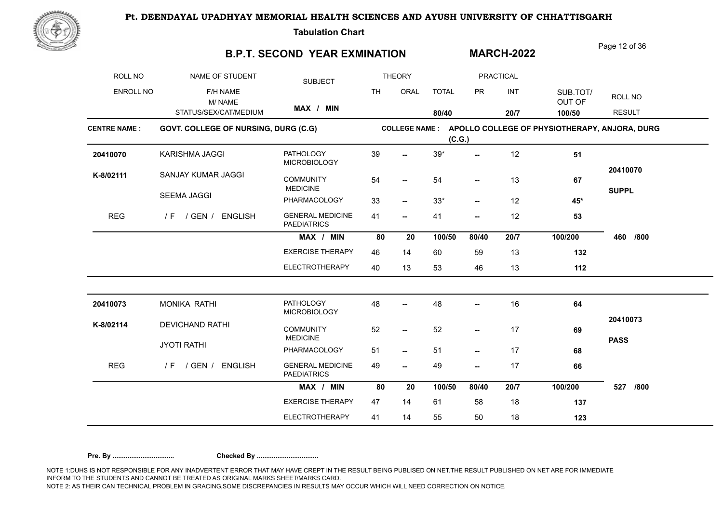

**Tabulation Chart** 

### **B.P.T. SECOND YEAR EXMINATION**

Page 12 of 36

**MARCH-2022**

| ROLL NO             | NAME OF STUDENT                      | <b>SUBJECT</b>                                |           | <b>THEORY</b>         |              |                          | <b>PRACTICAL</b> |                                               |                          |
|---------------------|--------------------------------------|-----------------------------------------------|-----------|-----------------------|--------------|--------------------------|------------------|-----------------------------------------------|--------------------------|
| <b>ENROLL NO</b>    | F/H NAME<br>M/NAME                   |                                               | <b>TH</b> | ORAL                  | <b>TOTAL</b> | <b>PR</b>                | INT              | SUB.TOT/<br>OUT OF                            | ROLL NO                  |
|                     | STATUS/SEX/CAT/MEDIUM                | MAX / MIN                                     |           |                       | 80/40        |                          | 20/7             | 100/50                                        | <b>RESULT</b>            |
| <b>CENTRE NAME:</b> | GOVT. COLLEGE OF NURSING, DURG (C.G) |                                               |           | <b>COLLEGE NAME :</b> | (C.G.)       |                          |                  | APOLLO COLLEGE OF PHYSIOTHERAPY, ANJORA, DURG |                          |
| 20410070            | KARISHMA JAGGI                       | <b>PATHOLOGY</b><br><b>MICROBIOLOGY</b>       | 39        |                       | $39*$        | --                       | 12               | 51                                            |                          |
| K-8/02111           | SANJAY KUMAR JAGGI                   | <b>COMMUNITY</b><br><b>MEDICINE</b>           | 54        | $-$                   | 54           | --                       | 13               | 67                                            | 20410070<br><b>SUPPL</b> |
|                     | <b>SEEMA JAGGI</b>                   | PHARMACOLOGY                                  | 33        | --                    | $33*$        | --                       | 12               | 45*                                           |                          |
| <b>REG</b>          | / GEN / ENGLISH<br>/ F               | <b>GENERAL MEDICINE</b><br><b>PAEDIATRICS</b> | 41        | −−                    | 41           | --                       | 12               | 53                                            |                          |
|                     |                                      | MAX / MIN                                     | 80        | 20                    | 100/50       | 80/40                    | 20/7             | 100/200                                       | 460<br>/800              |
|                     |                                      | <b>EXERCISE THERAPY</b>                       | 46        | 14                    | 60           | 59                       | 13               | 132                                           |                          |
|                     |                                      | ELECTROTHERAPY                                | 40        | 13                    | 53           | 46                       | 13               | 112                                           |                          |
| 20410073            | <b>MONIKA RATHI</b>                  | <b>PATHOLOGY</b><br><b>MICROBIOLOGY</b>       | 48        |                       | 48           | --                       | 16               | 64                                            |                          |
| K-8/02114           | <b>DEVICHAND RATHI</b>               | <b>COMMUNITY</b><br><b>MEDICINE</b>           | 52        | --                    | 52           | --                       | 17               | 69                                            | 20410073                 |
|                     | <b>JYOTI RATHI</b>                   | PHARMACOLOGY                                  | 51        | -−                    | 51           | $\overline{\phantom{a}}$ | 17               | 68                                            | <b>PASS</b>              |
| <b>REG</b>          | / GEN /<br><b>ENGLISH</b><br>/ F     | <b>GENERAL MEDICINE</b><br><b>PAEDIATRICS</b> | 49        | --                    | 49           | --                       | 17               | 66                                            |                          |
|                     |                                      | MAX / MIN                                     | 80        | 20                    | 100/50       | 80/40                    | 20/7             | 100/200                                       | 527<br>/800              |
|                     |                                      | <b>EXERCISE THERAPY</b>                       | 47        | 14                    | 61           | 58                       | 18               | 137                                           |                          |
|                     |                                      | <b>ELECTROTHERAPY</b>                         | 41        | 14                    | 55           | 50                       | 18               | 123                                           |                          |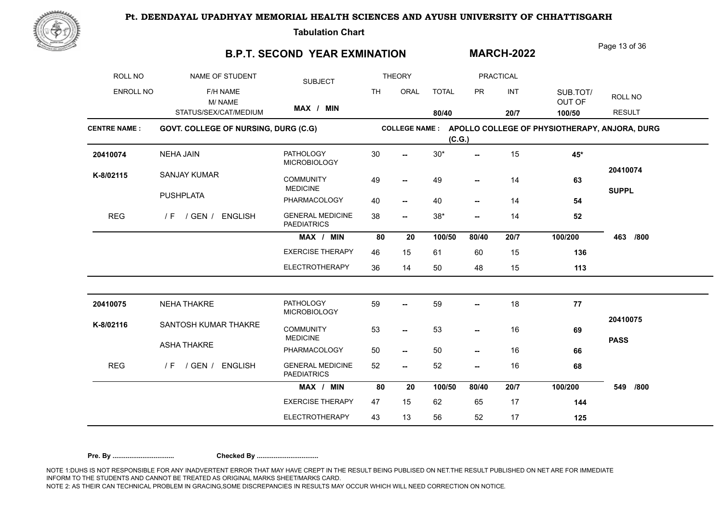

**Tabulation Chart** 

### **B.P.T. SECOND YEAR EXMINATION**

Page 13 of 36

**MARCH-2022**

| ROLL NO             | NAME OF STUDENT                      | <b>SUBJECT</b>                                |           | <b>THEORY</b>            |              |                          | <b>PRACTICAL</b> |                                                              |               |
|---------------------|--------------------------------------|-----------------------------------------------|-----------|--------------------------|--------------|--------------------------|------------------|--------------------------------------------------------------|---------------|
| <b>ENROLL NO</b>    | F/H NAME<br>M/NAME                   |                                               | <b>TH</b> | ORAL                     | <b>TOTAL</b> | <b>PR</b>                | INT              | SUB.TOT/<br>OUT OF                                           | ROLL NO       |
|                     | STATUS/SEX/CAT/MEDIUM                | MAX / MIN                                     |           |                          | 80/40        |                          | 20/7             | 100/50                                                       | <b>RESULT</b> |
| <b>CENTRE NAME:</b> | GOVT. COLLEGE OF NURSING, DURG (C.G) |                                               |           |                          | (C.G.)       |                          |                  | COLLEGE NAME : APOLLO COLLEGE OF PHYSIOTHERAPY, ANJORA, DURG |               |
| 20410074            | <b>NEHA JAIN</b>                     | <b>PATHOLOGY</b><br><b>MICROBIOLOGY</b>       | 30        | --                       | $30*$        | --                       | 15               | 45*                                                          |               |
| K-8/02115           | <b>SANJAY KUMAR</b>                  | <b>COMMUNITY</b><br><b>MEDICINE</b>           | 49        | $\overline{\phantom{a}}$ | 49           | --                       | 14               | 63                                                           | 20410074      |
|                     | <b>PUSHPLATA</b>                     | PHARMACOLOGY                                  | 40        | $\overline{\phantom{a}}$ | 40           | $\overline{\phantom{a}}$ | 14               | 54                                                           | <b>SUPPL</b>  |
| <b>REG</b>          | / F / GEN / ENGLISH                  | <b>GENERAL MEDICINE</b><br><b>PAEDIATRICS</b> | 38        | $\overline{\phantom{a}}$ | $38*$        | --                       | 14               | 52                                                           |               |
|                     |                                      | MAX / MIN                                     | 80        | 20                       | 100/50       | 80/40                    | 20/7             | 100/200                                                      | 463<br>/800   |
|                     |                                      | <b>EXERCISE THERAPY</b>                       | 46        | 15                       | 61           | 60                       | 15               | 136                                                          |               |
|                     |                                      | <b>ELECTROTHERAPY</b>                         | 36        | 14                       | 50           | 48                       | 15               | 113                                                          |               |
| 20410075            | <b>NEHA THAKRE</b>                   | <b>PATHOLOGY</b><br><b>MICROBIOLOGY</b>       | 59        | --                       | 59           | --                       | 18               | 77                                                           |               |
| K-8/02116           | SANTOSH KUMAR THAKRE                 | <b>COMMUNITY</b><br><b>MEDICINE</b>           | 53        | $\overline{\phantom{a}}$ | 53           | $\overline{\phantom{a}}$ | 16               | 69                                                           | 20410075      |
|                     | <b>ASHA THAKRE</b>                   | PHARMACOLOGY                                  | 50        | $\overline{\phantom{a}}$ | 50           | --                       | 16               | 66                                                           | <b>PASS</b>   |
| <b>REG</b>          | / GEN /<br><b>ENGLISH</b><br>/ F     | <b>GENERAL MEDICINE</b><br><b>PAEDIATRICS</b> | 52        | $\overline{\phantom{a}}$ | 52           | --                       | 16               | 68                                                           |               |
|                     |                                      | MAX / MIN                                     | 80        | 20                       | 100/50       | 80/40                    | 20/7             | 100/200                                                      | /800<br>549   |
|                     |                                      | <b>EXERCISE THERAPY</b>                       | 47        | 15                       | 62           | 65                       | 17               | 144                                                          |               |
|                     |                                      | <b>ELECTROTHERAPY</b>                         | 43        | 13                       | 56           | 52                       | 17               | 125                                                          |               |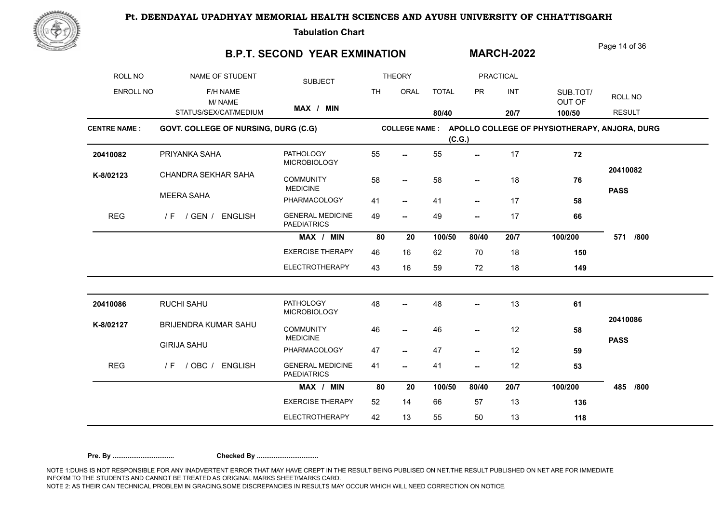

**Tabulation Chart** 

### **B.P.T. SECOND YEAR EXMINATION**

Page 14 of 36

**MARCH-2022**

| ROLL NO             | NAME OF STUDENT                      | <b>SUBJECT</b>                                |           | <b>THEORY</b>            |              |                          | <b>PRACTICAL</b> |                                                              |                         |
|---------------------|--------------------------------------|-----------------------------------------------|-----------|--------------------------|--------------|--------------------------|------------------|--------------------------------------------------------------|-------------------------|
| ENROLL NO           | F/H NAME<br>M/NAME                   |                                               | <b>TH</b> | ORAL                     | <b>TOTAL</b> | <b>PR</b>                | INT              | SUB.TOT/<br>OUT OF                                           | ROLL NO                 |
|                     | STATUS/SEX/CAT/MEDIUM                | MAX / MIN                                     |           |                          | 80/40        |                          | 20/7             | 100/50                                                       | <b>RESULT</b>           |
| <b>CENTRE NAME:</b> | GOVT. COLLEGE OF NURSING, DURG (C.G) |                                               |           |                          | (C.G.)       |                          |                  | COLLEGE NAME : APOLLO COLLEGE OF PHYSIOTHERAPY, ANJORA, DURG |                         |
| 20410082            | PRIYANKA SAHA                        | <b>PATHOLOGY</b><br><b>MICROBIOLOGY</b>       | 55        | $\overline{\phantom{a}}$ | 55           | --                       | 17               | 72                                                           |                         |
| K-8/02123           | CHANDRA SEKHAR SAHA                  | <b>COMMUNITY</b><br><b>MEDICINE</b>           | 58        | $\overline{\phantom{a}}$ | 58           |                          | 18               | 76                                                           | 20410082<br><b>PASS</b> |
|                     | <b>MEERA SAHA</b>                    | PHARMACOLOGY                                  | 41        | $\overline{\phantom{a}}$ | 41           | $\overline{\phantom{a}}$ | 17               | 58                                                           |                         |
| <b>REG</b>          | / GEN / ENGLISH<br>/ F               | <b>GENERAL MEDICINE</b><br><b>PAEDIATRICS</b> | 49        | $\overline{\phantom{a}}$ | 49           | ⊷                        | 17               | 66                                                           |                         |
|                     |                                      | MAX / MIN                                     | 80        | 20                       | 100/50       | 80/40                    | 20/7             | 100/200                                                      | /800<br>571             |
|                     |                                      | <b>EXERCISE THERAPY</b>                       | 46        | 16                       | 62           | 70                       | 18               | 150                                                          |                         |
|                     |                                      | <b>ELECTROTHERAPY</b>                         | 43        | 16                       | 59           | 72                       | 18               | 149                                                          |                         |
| 20410086            | RUCHI SAHU                           | <b>PATHOLOGY</b><br><b>MICROBIOLOGY</b>       | 48        |                          | 48           | $-$                      | 13               | 61                                                           |                         |
| K-8/02127           | BRIJENDRA KUMAR SAHU                 | <b>COMMUNITY</b><br><b>MEDICINE</b>           | 46        | --                       | 46           | --                       | 12               | 58                                                           | 20410086                |
|                     | <b>GIRIJA SAHU</b>                   | PHARMACOLOGY                                  | 47        | $\overline{\phantom{a}}$ | 47           | --                       | 12               | 59                                                           | <b>PASS</b>             |
| <b>REG</b>          | $/$ OBC $/$<br><b>ENGLISH</b><br>/ F | <b>GENERAL MEDICINE</b><br><b>PAEDIATRICS</b> | 41        | --                       | 41           | --                       | 12               | 53                                                           |                         |
|                     |                                      | MAX / MIN                                     | 80        | 20                       | 100/50       | 80/40                    | 20/7             | 100/200                                                      | 485<br>/800             |
|                     |                                      | <b>EXERCISE THERAPY</b>                       | 52        | 14                       | 66           | 57                       | 13               | 136                                                          |                         |
|                     |                                      | <b>ELECTROTHERAPY</b>                         | 42        | 13                       | 55           | 50                       | 13               | 118                                                          |                         |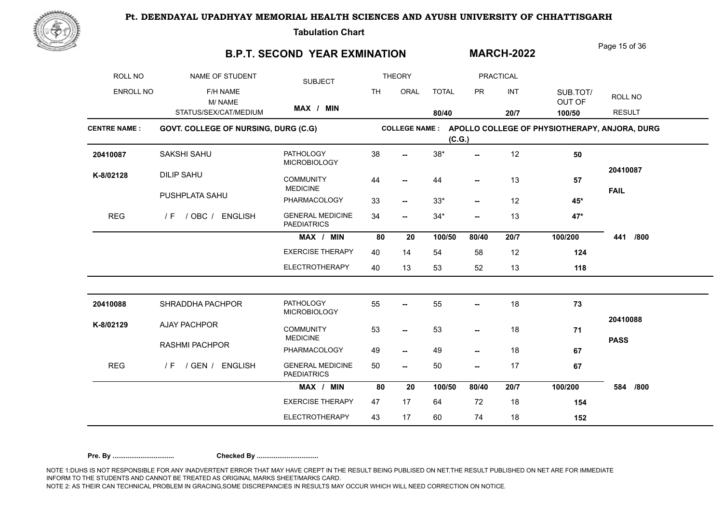

**Tabulation Chart** 

### **B.P.T. SECOND YEAR EXMINATION**

Page 15 of 36

**MARCH-2022**

| ROLL NO             | NAME OF STUDENT                      | <b>SUBJECT</b>                                |           | <b>THEORY</b>            |              |                          | <b>PRACTICAL</b> |                                                              |                         |
|---------------------|--------------------------------------|-----------------------------------------------|-----------|--------------------------|--------------|--------------------------|------------------|--------------------------------------------------------------|-------------------------|
| ENROLL NO           | F/H NAME<br>M/NAME                   |                                               | <b>TH</b> | ORAL                     | <b>TOTAL</b> | <b>PR</b>                | INT              | SUB.TOT/<br>OUT OF                                           | ROLL NO                 |
|                     | STATUS/SEX/CAT/MEDIUM                | MAX / MIN                                     |           |                          | 80/40        |                          | 20/7             | 100/50                                                       | <b>RESULT</b>           |
| <b>CENTRE NAME:</b> | GOVT. COLLEGE OF NURSING, DURG (C.G) |                                               |           |                          | (C.G.)       |                          |                  | COLLEGE NAME : APOLLO COLLEGE OF PHYSIOTHERAPY, ANJORA, DURG |                         |
| 20410087            | SAKSHI SAHU                          | <b>PATHOLOGY</b><br><b>MICROBIOLOGY</b>       | 38        | $\overline{\phantom{a}}$ | $38*$        | $-$                      | 12               | 50                                                           |                         |
| K-8/02128           | <b>DILIP SAHU</b>                    | <b>COMMUNITY</b><br><b>MEDICINE</b>           | 44        | --                       | 44           |                          | 13               | 57                                                           | 20410087<br><b>FAIL</b> |
|                     | PUSHPLATA SAHU                       | PHARMACOLOGY                                  | 33        | $\overline{\phantom{a}}$ | $33*$        | $\overline{\phantom{a}}$ | 12               | 45*                                                          |                         |
| <b>REG</b>          | / OBC / ENGLISH<br>/ F               | <b>GENERAL MEDICINE</b><br><b>PAEDIATRICS</b> | 34        | $\overline{\phantom{a}}$ | $34*$        | --                       | 13               | $47*$                                                        |                         |
|                     |                                      | MAX / MIN                                     | 80        | 20                       | 100/50       | 80/40                    | 20/7             | 100/200                                                      | /800<br>441             |
|                     |                                      | <b>EXERCISE THERAPY</b>                       | 40        | 14                       | 54           | 58                       | 12               | 124                                                          |                         |
|                     |                                      | <b>ELECTROTHERAPY</b>                         | 40        | 13                       | 53           | 52                       | 13               | 118                                                          |                         |
| 20410088            | SHRADDHA PACHPOR                     | PATHOLOGY<br><b>MICROBIOLOGY</b>              | 55        | $\overline{\phantom{a}}$ | 55           | Ξ.                       | 18               | 73                                                           |                         |
| K-8/02129           | <b>AJAY PACHPOR</b>                  | <b>COMMUNITY</b><br><b>MEDICINE</b>           | 53        | $\overline{\phantom{a}}$ | 53           | --                       | 18               | 71                                                           | 20410088                |
|                     | <b>RASHMI PACHPOR</b>                | PHARMACOLOGY                                  | 49        | $\overline{\phantom{a}}$ | 49           | --                       | 18               | 67                                                           | <b>PASS</b>             |
| <b>REG</b>          | / GEN / ENGLISH<br>/ F               | <b>GENERAL MEDICINE</b><br><b>PAEDIATRICS</b> | 50        | −−                       | 50           | --                       | 17               | 67                                                           |                         |
|                     |                                      | MAX / MIN                                     | 80        | 20                       | 100/50       | 80/40                    | 20/7             | 100/200                                                      | 584<br>/800             |
|                     |                                      | <b>EXERCISE THERAPY</b>                       | 47        | 17                       | 64           | 72                       | 18               | 154                                                          |                         |
|                     |                                      | <b>ELECTROTHERAPY</b>                         | 43        | 17                       | 60           | 74                       | 18               | 152                                                          |                         |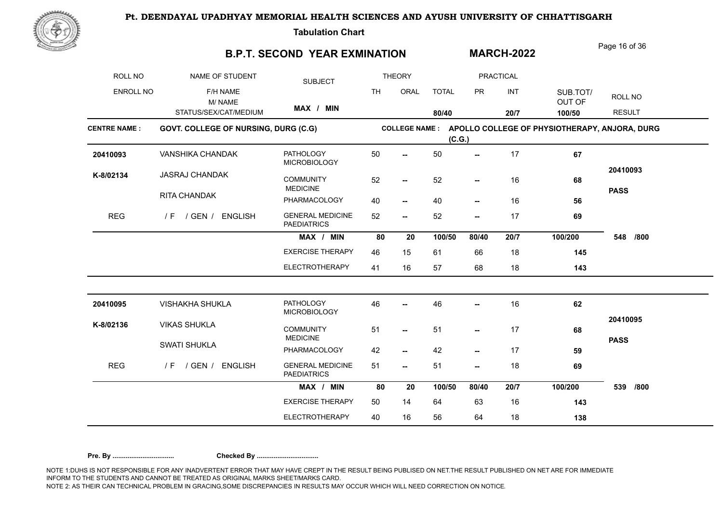

**Tabulation Chart** 

### **B.P.T. SECOND YEAR EXMINATION**

Page 16 of 36

**MARCH-2022**

| ROLL NO             | NAME OF STUDENT                      | <b>SUBJECT</b>                                |           | <b>THEORY</b>            |              |                          | <b>PRACTICAL</b> |                                                              |               |
|---------------------|--------------------------------------|-----------------------------------------------|-----------|--------------------------|--------------|--------------------------|------------------|--------------------------------------------------------------|---------------|
| ENROLL NO           | F/H NAME<br>M/NAME                   |                                               | <b>TH</b> | ORAL                     | <b>TOTAL</b> | <b>PR</b>                | INT              | SUB.TOT/<br>OUT OF                                           | ROLL NO       |
|                     | STATUS/SEX/CAT/MEDIUM                | MAX / MIN                                     |           |                          | 80/40        |                          | 20/7             | 100/50                                                       | <b>RESULT</b> |
| <b>CENTRE NAME:</b> | GOVT. COLLEGE OF NURSING, DURG (C.G) |                                               |           |                          | (C.G.)       |                          |                  | COLLEGE NAME : APOLLO COLLEGE OF PHYSIOTHERAPY, ANJORA, DURG |               |
| 20410093            | VANSHIKA CHANDAK                     | <b>PATHOLOGY</b><br><b>MICROBIOLOGY</b>       | 50        | --                       | 50           | --                       | 17               | 67                                                           |               |
| K-8/02134           | <b>JASRAJ CHANDAK</b>                | <b>COMMUNITY</b><br><b>MEDICINE</b>           | 52        | $\overline{\phantom{a}}$ | 52           | $\overline{\phantom{a}}$ | 16               | 68                                                           | 20410093      |
|                     | RITA CHANDAK                         | PHARMACOLOGY                                  | 40        | $\overline{\phantom{a}}$ | 40           | $\overline{\phantom{a}}$ | 16               | 56                                                           | <b>PASS</b>   |
| <b>REG</b>          | / F / GEN / ENGLISH                  | <b>GENERAL MEDICINE</b><br><b>PAEDIATRICS</b> | 52        | $\overline{\phantom{a}}$ | 52           | --                       | 17               | 69                                                           |               |
|                     |                                      | MAX / MIN                                     | 80        | 20                       | 100/50       | 80/40                    | 20/7             | 100/200                                                      | 548<br>/800   |
|                     |                                      | <b>EXERCISE THERAPY</b>                       | 46        | 15                       | 61           | 66                       | 18               | 145                                                          |               |
|                     |                                      | <b>ELECTROTHERAPY</b>                         | 41        | 16                       | 57           | 68                       | 18               | 143                                                          |               |
| 20410095            | <b>VISHAKHA SHUKLA</b>               | <b>PATHOLOGY</b><br><b>MICROBIOLOGY</b>       | 46        |                          | 46           | --                       | 16               | 62                                                           |               |
| K-8/02136           | <b>VIKAS SHUKLA</b>                  | <b>COMMUNITY</b><br><b>MEDICINE</b>           | 51        | $\overline{\phantom{a}}$ | 51           | --                       | 17               | 68                                                           | 20410095      |
|                     | <b>SWATI SHUKLA</b>                  | PHARMACOLOGY                                  | 42        | $\overline{\phantom{a}}$ | 42           | --                       | 17               | 59                                                           | <b>PASS</b>   |
| <b>REG</b>          | / GEN /<br><b>ENGLISH</b><br>/ F     | <b>GENERAL MEDICINE</b><br><b>PAEDIATRICS</b> | 51        | $\overline{\phantom{a}}$ | 51           | --                       | 18               | 69                                                           |               |
|                     |                                      | MAX / MIN                                     | 80        | 20                       | 100/50       | 80/40                    | 20/7             | 100/200                                                      | /800<br>539   |
|                     |                                      | <b>EXERCISE THERAPY</b>                       | 50        | 14                       | 64           | 63                       | 16               | 143                                                          |               |
|                     |                                      | <b>ELECTROTHERAPY</b>                         | 40        | 16                       | 56           | 64                       | 18               | 138                                                          |               |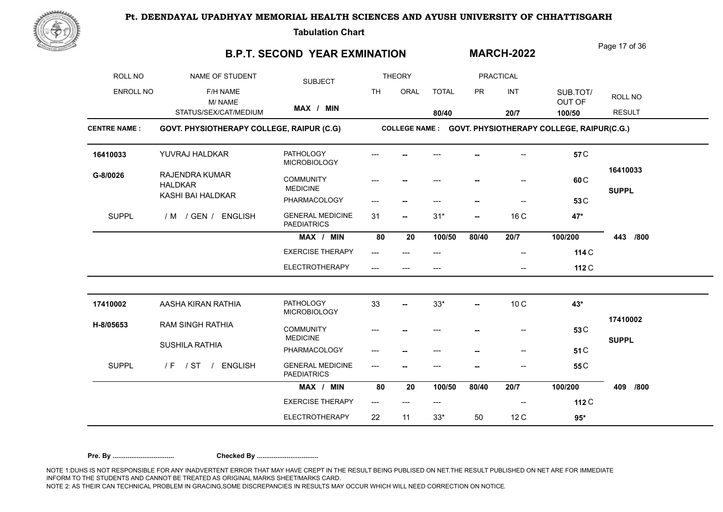

**Tabulation Chart** 

## **B.P.T. SECOND YEAR EXMINATION**

Page 17 of 36

**MARCH-2022**

| ROLL NO             | NAME OF STUDENT                           | <b>SUBJECT</b>                                |           | <b>THEORY</b>                       |              |           | <b>PRACTICAL</b> |                                                          |                          |
|---------------------|-------------------------------------------|-----------------------------------------------|-----------|-------------------------------------|--------------|-----------|------------------|----------------------------------------------------------|--------------------------|
| <b>ENROLL NO</b>    | F/H NAME<br>M/NAME                        |                                               | <b>TH</b> | ORAL                                | <b>TOTAL</b> | <b>PR</b> | INT              | SUB.TOT/<br>OUT OF                                       | ROLL NO                  |
|                     | STATUS/SEX/CAT/MEDIUM                     | MAX / MIN                                     |           |                                     | 80/40        |           | 20/7             | 100/50                                                   | <b>RESULT</b>            |
| <b>CENTRE NAME:</b> | GOVT. PHYSIOTHERAPY COLLEGE, RAIPUR (C.G) |                                               |           |                                     |              |           |                  | COLLEGE NAME : GOVT. PHYSIOTHERAPY COLLEGE, RAIPUR(C.G.) |                          |
| 16410033            | YUVRAJ HALDKAR                            | <b>PATHOLOGY</b><br><b>MICROBIOLOGY</b>       |           |                                     |              |           |                  | 57 C                                                     |                          |
| G-8/0026            | RAJENDRA KUMAR<br><b>HALDKAR</b>          | <b>COMMUNITY</b><br><b>MEDICINE</b>           |           |                                     |              |           |                  | 60 <sub>C</sub>                                          | 16410033<br><b>SUPPL</b> |
|                     | KASHI BAI HALDKAR                         | PHARMACOLOGY                                  | ---       | --                                  | ---          | --        |                  | 53C                                                      |                          |
| <b>SUPPL</b>        | / M / GEN / ENGLISH                       | <b>GENERAL MEDICINE</b><br><b>PAEDIATRICS</b> | 31        | $\overline{\phantom{a}}$            | $31*$        | --        | 16 C             | 47*                                                      |                          |
|                     |                                           | MAX / MIN                                     | 80        | 20                                  | 100/50       | 80/40     | 20/7             | 100/200                                                  | 443<br>/800              |
|                     |                                           | <b>EXERCISE THERAPY</b>                       | ---       | $---$                               | $---$        |           | --               | 114 C                                                    |                          |
|                     |                                           | <b>ELECTROTHERAPY</b>                         | $-$ --    |                                     |              |           | $-$              | 112 C                                                    |                          |
| 17410002            | AASHA KIRAN RATHIA                        | <b>PATHOLOGY</b><br><b>MICROBIOLOGY</b>       | 33        | --                                  | $33*$        | --        | 10 <sub>C</sub>  | 43*                                                      |                          |
| H-8/05653           | <b>RAM SINGH RATHIA</b>                   | <b>COMMUNITY</b><br><b>MEDICINE</b>           |           |                                     | ---          |           | --               | 53 C                                                     | 17410002                 |
|                     | <b>SUSHILA RATHIA</b>                     | PHARMACOLOGY                                  |           |                                     | ---          |           | --               | 51 C                                                     | <b>SUPPL</b>             |
| <b>SUPPL</b>        | / ST / ENGLISH<br>/ F                     | <b>GENERAL MEDICINE</b><br><b>PAEDIATRICS</b> | ---       |                                     |              |           |                  | 55 <sub>C</sub>                                          |                          |
|                     |                                           | MAX / MIN                                     | 80        | 20                                  | 100/50       | 80/40     | 20/7             | 100/200                                                  | 409<br>/800              |
|                     |                                           | <b>EXERCISE THERAPY</b>                       | $---$     | $\hspace{0.05cm}---\hspace{0.05cm}$ | $---$        |           |                  | 112 C                                                    |                          |
|                     |                                           | <b>ELECTROTHERAPY</b>                         | 22        | 11                                  | $33*$        | 50        | 12C              | $95*$                                                    |                          |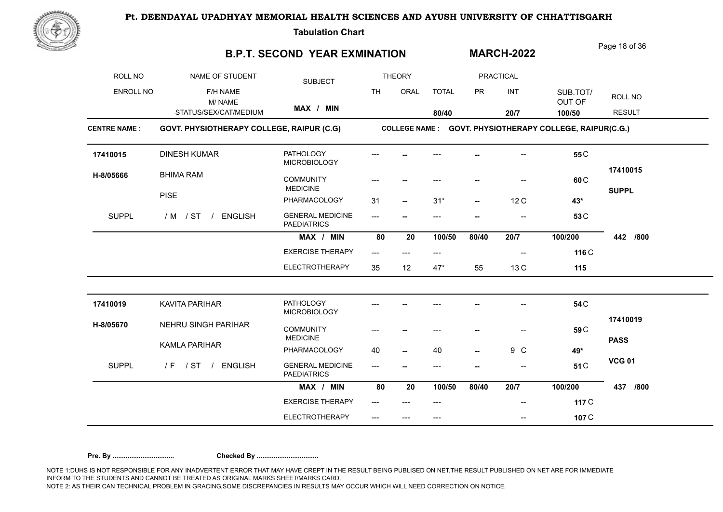

**Tabulation Chart** 

### **B.P.T. SECOND YEAR EXMINATION**

Page 18 of 36

**MARCH-2022**

| ROLL NO             | NAME OF STUDENT                           | <b>SUBJECT</b>                                |           | <b>THEORY</b>            |              |                          | <b>PRACTICAL</b> |                                                          |               |
|---------------------|-------------------------------------------|-----------------------------------------------|-----------|--------------------------|--------------|--------------------------|------------------|----------------------------------------------------------|---------------|
| <b>ENROLL NO</b>    | F/H NAME<br>M/NAME                        |                                               | <b>TH</b> | ORAL                     | <b>TOTAL</b> | <b>PR</b>                | INT              | SUB.TOT/<br>OUT OF                                       | ROLL NO       |
|                     | STATUS/SEX/CAT/MEDIUM                     | MAX / MIN                                     |           |                          | 80/40        |                          | 20/7             | 100/50                                                   | <b>RESULT</b> |
| <b>CENTRE NAME:</b> | GOVT. PHYSIOTHERAPY COLLEGE, RAIPUR (C.G) |                                               |           |                          |              |                          |                  | COLLEGE NAME : GOVT. PHYSIOTHERAPY COLLEGE, RAIPUR(C.G.) |               |
| 17410015            | <b>DINESH KUMAR</b>                       | <b>PATHOLOGY</b><br><b>MICROBIOLOGY</b>       |           |                          |              |                          |                  | 55 <sub>C</sub>                                          |               |
| H-8/05666           | <b>BHIMA RAM</b>                          | <b>COMMUNITY</b><br><b>MEDICINE</b>           |           |                          |              |                          |                  | 60 <sub>C</sub>                                          | 17410015      |
|                     | <b>PISE</b>                               | PHARMACOLOGY                                  | 31        | $\overline{\phantom{a}}$ | $31*$        | $\overline{\phantom{a}}$ | 12C              | 43*                                                      | <b>SUPPL</b>  |
| <b>SUPPL</b>        | / M / ST / ENGLISH                        | <b>GENERAL MEDICINE</b><br><b>PAEDIATRICS</b> | $---$     |                          | ---          |                          |                  | 53 C                                                     |               |
|                     |                                           | MAX / MIN                                     | 80        | 20                       | 100/50       | 80/40                    | 20/7             | 100/200                                                  | 442 /800      |
|                     |                                           | <b>EXERCISE THERAPY</b>                       | ---       |                          |              |                          |                  | 116 C                                                    |               |
|                     |                                           | <b>ELECTROTHERAPY</b>                         | 35        | 12                       | $47*$        | 55                       | 13 C             | 115                                                      |               |
| 17410019            | KAVITA PARIHAR                            | <b>PATHOLOGY</b><br><b>MICROBIOLOGY</b>       |           |                          |              |                          |                  | 54 C                                                     |               |
| H-8/05670           | NEHRU SINGH PARIHAR                       | <b>COMMUNITY</b>                              |           |                          |              |                          | --               | 59 C                                                     | 17410019      |
|                     | KAMLA PARIHAR                             | <b>MEDICINE</b><br>PHARMACOLOGY               | 40        |                          | 40           |                          | 9 C              | 49*                                                      | <b>PASS</b>   |
| <b>SUPPL</b>        | /F / ST / ENGLISH                         | <b>GENERAL MEDICINE</b><br><b>PAEDIATRICS</b> | $---$     |                          | ---          |                          |                  | 51 C                                                     | <b>VCG 01</b> |
|                     |                                           | MAX / MIN                                     | 80        | 20                       | 100/50       | 80/40                    | 20/7             | 100/200                                                  | 437<br>/800   |
|                     |                                           | <b>EXERCISE THERAPY</b>                       |           |                          |              |                          |                  | 117 C                                                    |               |
|                     |                                           | <b>ELECTROTHERAPY</b>                         | ---       |                          | $---$        |                          | --               | 107 C                                                    |               |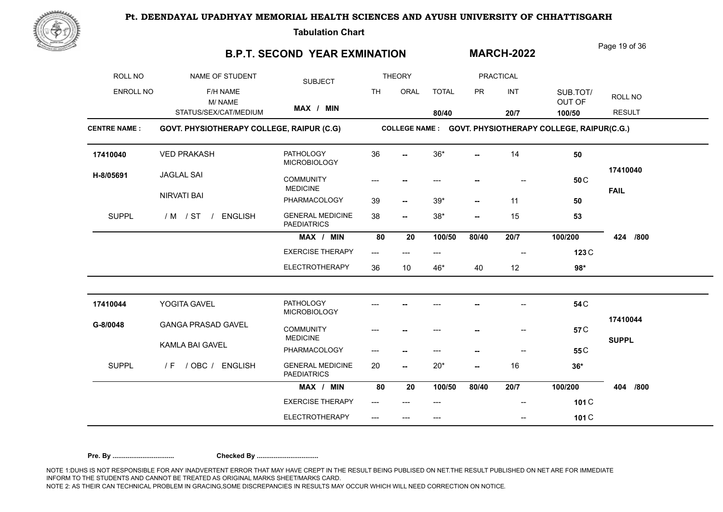

**Tabulation Chart** 

# **B.P.T. SECOND YEAR EXMINATION MARCH-2022**

Page 19 of 36

| ROLL NO             | NAME OF STUDENT                           | <b>SUBJECT</b>                                |           | <b>THEORY</b>            |              |                          | PRACTICAL                |                                                          |                          |
|---------------------|-------------------------------------------|-----------------------------------------------|-----------|--------------------------|--------------|--------------------------|--------------------------|----------------------------------------------------------|--------------------------|
| ENROLL NO           | F/H NAME<br>M/NAME                        |                                               | <b>TH</b> | ORAL                     | <b>TOTAL</b> | <b>PR</b>                | <b>INT</b>               | SUB.TOT/<br>OUT OF                                       | ROLL NO                  |
|                     | STATUS/SEX/CAT/MEDIUM                     | MAX / MIN                                     |           |                          | 80/40        |                          | 20/7                     | 100/50                                                   | <b>RESULT</b>            |
| <b>CENTRE NAME:</b> | GOVT. PHYSIOTHERAPY COLLEGE, RAIPUR (C.G) |                                               |           |                          |              |                          |                          | COLLEGE NAME : GOVT. PHYSIOTHERAPY COLLEGE, RAIPUR(C.G.) |                          |
| 17410040            | <b>VED PRAKASH</b>                        | <b>PATHOLOGY</b><br><b>MICROBIOLOGY</b>       | 36        |                          | $36*$        |                          | 14                       | 50                                                       |                          |
| H-8/05691           | <b>JAGLAL SAI</b>                         | <b>COMMUNITY</b><br><b>MEDICINE</b>           | ---       |                          |              |                          |                          | 50 <sub>C</sub>                                          | 17410040<br><b>FAIL</b>  |
|                     | NIRVATI BAI                               | PHARMACOLOGY                                  | 39        | --                       | $39*$        |                          | 11                       | 50                                                       |                          |
| <b>SUPPL</b>        | / M / ST /<br><b>ENGLISH</b>              | <b>GENERAL MEDICINE</b><br><b>PAEDIATRICS</b> | 38        | $\overline{\phantom{a}}$ | $38*$        | $\overline{\phantom{a}}$ | 15                       | 53                                                       |                          |
|                     |                                           | MAX / MIN                                     | 80        | 20                       | 100/50       | 80/40                    | 20/7                     | 100/200                                                  | 424 /800                 |
|                     |                                           | <b>EXERCISE THERAPY</b>                       | ---       |                          | ---          |                          | $\overline{\phantom{a}}$ | 123 C                                                    |                          |
|                     |                                           | <b>ELECTROTHERAPY</b>                         | 36        | 10                       | 46*          | 40                       | 12                       | $98*$                                                    |                          |
| 17410044            | YOGITA GAVEL                              | <b>PATHOLOGY</b><br><b>MICROBIOLOGY</b>       |           |                          |              |                          |                          | 54 C                                                     |                          |
| G-8/0048            | <b>GANGA PRASAD GAVEL</b>                 | <b>COMMUNITY</b><br><b>MEDICINE</b>           |           |                          |              |                          | $-$                      | 57 <sub>C</sub>                                          | 17410044<br><b>SUPPL</b> |
|                     | KAMLA BAI GAVEL                           | PHARMACOLOGY                                  | ---       |                          | ---          |                          | $\qquad \qquad \cdots$   | 55 <sub>C</sub>                                          |                          |
| <b>SUPPL</b>        | / F / OBC / ENGLISH                       | <b>GENERAL MEDICINE</b><br><b>PAEDIATRICS</b> | 20        | --                       | $20*$        | $\overline{\phantom{a}}$ | 16                       | $36*$                                                    |                          |
|                     |                                           | MAX / MIN                                     | 80        | 20                       | 100/50       | 80/40                    | 20/7                     | 100/200                                                  | 404<br>/800              |
|                     |                                           | <b>EXERCISE THERAPY</b>                       | $---$     |                          | ---          |                          | --                       | 101 C                                                    |                          |
|                     |                                           | <b>ELECTROTHERAPY</b>                         | ---       |                          | ---          |                          | --                       | 101 C                                                    |                          |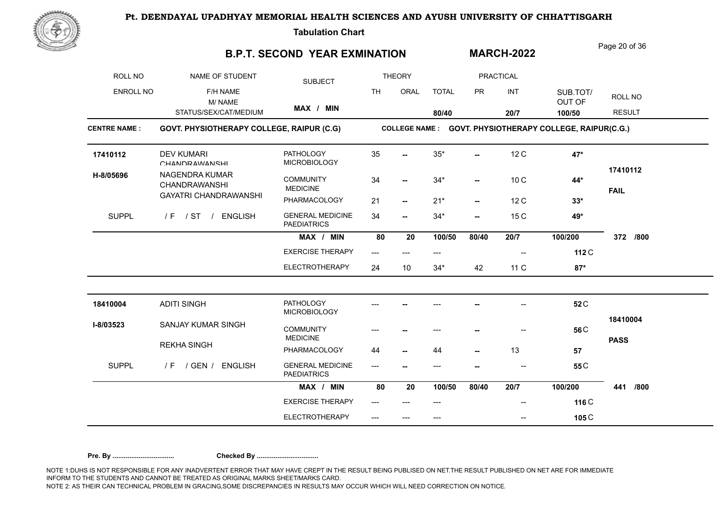

**Tabulation Chart** 

## **B.P.T. SECOND YEAR EXMINATION**

Page 20 of 36

**MARCH-2022**

| ROLL NO             | NAME OF STUDENT                           | <b>SUBJECT</b>                                |           | <b>THEORY</b>            |              |                          | PRACTICAL                |                                                          |                         |
|---------------------|-------------------------------------------|-----------------------------------------------|-----------|--------------------------|--------------|--------------------------|--------------------------|----------------------------------------------------------|-------------------------|
| ENROLL NO           | F/H NAME<br>M/NAME                        |                                               | <b>TH</b> | ORAL                     | <b>TOTAL</b> | <b>PR</b>                | INT                      | SUB.TOT/<br>OUT OF                                       | ROLL NO                 |
|                     | STATUS/SEX/CAT/MEDIUM                     | MAX / MIN                                     |           |                          | 80/40        |                          | 20/7                     | 100/50                                                   | <b>RESULT</b>           |
| <b>CENTRE NAME:</b> | GOVT. PHYSIOTHERAPY COLLEGE, RAIPUR (C.G) |                                               |           |                          |              |                          |                          | COLLEGE NAME : GOVT. PHYSIOTHERAPY COLLEGE, RAIPUR(C.G.) |                         |
| 17410112            | <b>DEV KUMARI</b><br>CHANDRAWANSHI        | <b>PATHOLOGY</b><br><b>MICROBIOLOGY</b>       | 35        |                          | $35*$        | $\overline{\phantom{a}}$ | 12C                      | 47*                                                      |                         |
| H-8/05696           | NAGENDRA KUMAR<br><b>CHANDRAWANSHI</b>    | <b>COMMUNITY</b><br><b>MEDICINE</b>           | 34        | --                       | $34*$        | $\overline{\phantom{a}}$ | 10 <sub>C</sub>          | 44*                                                      | 17410112<br><b>FAIL</b> |
|                     | <b>GAYATRI CHANDRAWANSHI</b>              | PHARMACOLOGY                                  | 21        | $\overline{\phantom{a}}$ | $21*$        | $\overline{\phantom{a}}$ | 12 C                     | $33*$                                                    |                         |
| <b>SUPPL</b>        | <b>ENGLISH</b><br>$IF$ / ST /             | <b>GENERAL MEDICINE</b><br><b>PAEDIATRICS</b> | 34        | --                       | $34*$        | $\overline{\phantom{a}}$ | 15 C                     | 49*                                                      |                         |
|                     |                                           | MAX / MIN                                     | 80        | 20                       | 100/50       | 80/40                    | 20/7                     | 100/200                                                  | 372<br>/800             |
|                     |                                           | <b>EXERCISE THERAPY</b>                       | $---$     | $---$                    | ---          |                          | $\overline{\phantom{a}}$ | 112 C                                                    |                         |
|                     |                                           | <b>ELECTROTHERAPY</b>                         | 24        | 10                       | $34*$        | 42                       | 11 C                     | $87*$                                                    |                         |
| 18410004            | <b>ADITI SINGH</b>                        | <b>PATHOLOGY</b><br><b>MICROBIOLOGY</b>       |           |                          |              |                          |                          | 52 <sub>C</sub>                                          |                         |
| I-8/03523           | <b>SANJAY KUMAR SINGH</b>                 | <b>COMMUNITY</b><br><b>MEDICINE</b>           |           |                          |              |                          |                          | 56 <sub>C</sub>                                          | 18410004                |
|                     | <b>REKHA SINGH</b>                        | PHARMACOLOGY                                  | 44        |                          | 44           | --                       | 13                       | 57                                                       | <b>PASS</b>             |
| <b>SUPPL</b>        | $/F$ / GEN /<br><b>ENGLISH</b>            | <b>GENERAL MEDICINE</b><br><b>PAEDIATRICS</b> | ---       |                          | ---          |                          |                          | 55 <sub>C</sub>                                          |                         |
|                     |                                           | MAX / MIN                                     | 80        | 20                       | 100/50       | 80/40                    | 20/7                     | 100/200                                                  | 441<br>/800             |
|                     |                                           | <b>EXERCISE THERAPY</b>                       |           |                          | ---          |                          |                          | 116 C                                                    |                         |
|                     |                                           | <b>ELECTROTHERAPY</b>                         | ---       | ---                      | ---          |                          | $\hspace{0.05cm}$        | 105 C                                                    |                         |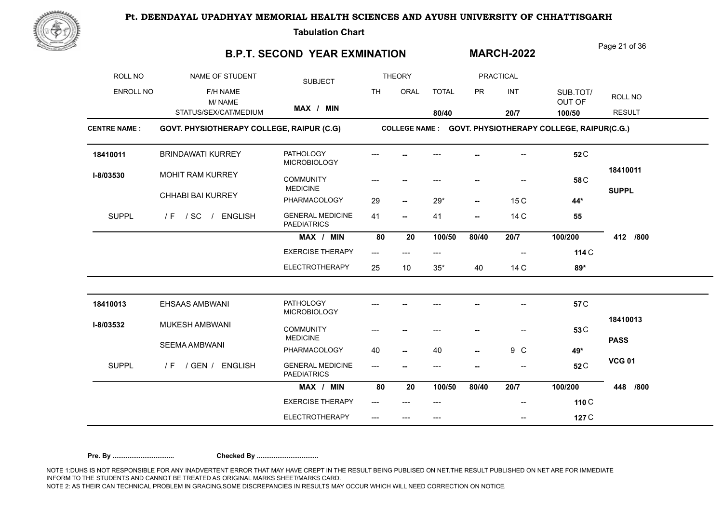

**Tabulation Chart** 

### **B.P.T. SECOND YEAR EXMINATION**

Page 21 of 36

**MARCH-2022**

| ROLL NO             | NAME OF STUDENT                           | <b>SUBJECT</b>                                |                           | <b>THEORY</b>            |              |                          | <b>PRACTICAL</b>         |                                                          |               |
|---------------------|-------------------------------------------|-----------------------------------------------|---------------------------|--------------------------|--------------|--------------------------|--------------------------|----------------------------------------------------------|---------------|
| ENROLL NO           | F/H NAME<br>M/NAME                        |                                               | <b>TH</b>                 | ORAL                     | <b>TOTAL</b> | <b>PR</b>                | INT                      | SUB.TOT/<br>OUT OF                                       | ROLL NO       |
|                     | STATUS/SEX/CAT/MEDIUM                     | MAX / MIN                                     |                           |                          | 80/40        |                          | 20/7                     | 100/50                                                   | <b>RESULT</b> |
| <b>CENTRE NAME:</b> | GOVT. PHYSIOTHERAPY COLLEGE, RAIPUR (C.G) |                                               |                           |                          |              |                          |                          | COLLEGE NAME : GOVT. PHYSIOTHERAPY COLLEGE, RAIPUR(C.G.) |               |
| 18410011            | <b>BRINDAWATI KURREY</b>                  | <b>PATHOLOGY</b><br><b>MICROBIOLOGY</b>       |                           |                          |              |                          |                          | 52 <sub>C</sub>                                          |               |
| I-8/03530           | MOHIT RAM KURREY                          | <b>COMMUNITY</b><br><b>MEDICINE</b>           |                           |                          |              |                          |                          | 58 C                                                     | 18410011      |
|                     | <b>CHHABI BAI KURREY</b>                  | PHARMACOLOGY                                  | 29                        | $\overline{\phantom{a}}$ | $29*$        | $\overline{\phantom{a}}$ | 15 C                     | 44*                                                      | <b>SUPPL</b>  |
| <b>SUPPL</b>        | / F / SC / ENGLISH                        | <b>GENERAL MEDICINE</b><br><b>PAEDIATRICS</b> | 41                        | $\overline{\phantom{a}}$ | 41           | --                       | 14 C                     | 55                                                       |               |
|                     |                                           | MAX / MIN                                     | 80                        | 20                       | 100/50       | 80/40                    | 20/7                     | 100/200                                                  | 412<br>/800   |
|                     |                                           | <b>EXERCISE THERAPY</b>                       | $\qquad \qquad -\qquad -$ | ---                      | ---          |                          | $\overline{\phantom{a}}$ | 114 C                                                    |               |
|                     |                                           | <b>ELECTROTHERAPY</b>                         | 25                        | 10                       | $35*$        | 40                       | 14 C                     | 89*                                                      |               |
| 18410013            | EHSAAS AMBWANI                            | <b>PATHOLOGY</b><br><b>MICROBIOLOGY</b>       |                           |                          |              |                          |                          | 57 C                                                     |               |
| I-8/03532           | MUKESH AMBWANI                            | <b>COMMUNITY</b><br><b>MEDICINE</b>           |                           |                          |              |                          |                          | 53 <sub>C</sub>                                          | 18410013      |
|                     | SEEMA AMBWANI                             | PHARMACOLOGY                                  | 40                        | $\overline{\phantom{a}}$ | 40           | $-$                      | 9 C                      | 49*                                                      | <b>PASS</b>   |
| <b>SUPPL</b>        | / GEN / ENGLISH<br>/ F                    | <b>GENERAL MEDICINE</b><br><b>PAEDIATRICS</b> | $---$                     |                          | ---          |                          |                          | 52 <sub>C</sub>                                          | <b>VCG 01</b> |
|                     |                                           | MAX / MIN                                     | 80                        | 20                       | 100/50       | 80/40                    | 20/7                     | 100/200                                                  | 448<br>/800   |
|                     |                                           | <b>EXERCISE THERAPY</b>                       | ---                       |                          |              |                          |                          | 110 C                                                    |               |
|                     |                                           | <b>ELECTROTHERAPY</b>                         |                           | $---$                    | $---$        |                          | --                       | 127 C                                                    |               |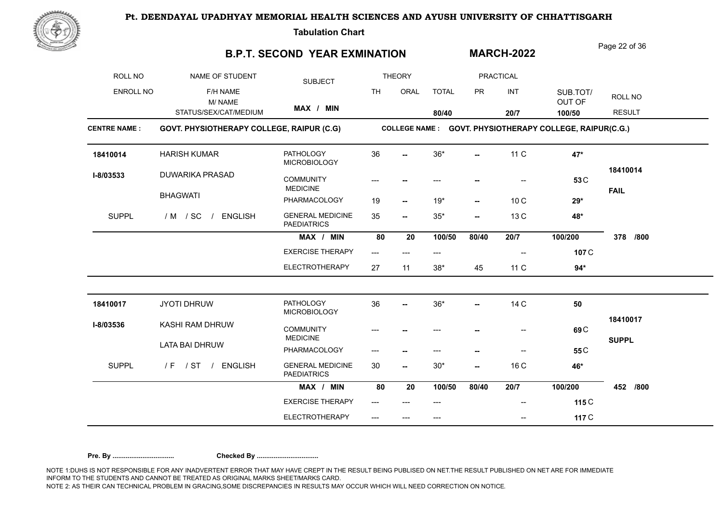

**Tabulation Chart** 

## **B.P.T. SECOND YEAR EXMINATION**

Page 22 of 36

**MARCH-2022**

| ROLL NO             | NAME OF STUDENT                           | <b>SUBJECT</b>                                |           | <b>THEORY</b>            |              |                          | <b>PRACTICAL</b>         |                                                          |                         |
|---------------------|-------------------------------------------|-----------------------------------------------|-----------|--------------------------|--------------|--------------------------|--------------------------|----------------------------------------------------------|-------------------------|
| <b>ENROLL NO</b>    | F/H NAME<br>M/NAME                        |                                               | <b>TH</b> | ORAL                     | <b>TOTAL</b> | <b>PR</b>                | INT                      | SUB.TOT/<br>OUT OF                                       | ROLL NO                 |
|                     | STATUS/SEX/CAT/MEDIUM                     | MAX / MIN                                     |           |                          | 80/40        |                          | 20/7                     | 100/50                                                   | <b>RESULT</b>           |
| <b>CENTRE NAME:</b> | GOVT. PHYSIOTHERAPY COLLEGE, RAIPUR (C.G) |                                               |           |                          |              |                          |                          | COLLEGE NAME : GOVT. PHYSIOTHERAPY COLLEGE, RAIPUR(C.G.) |                         |
| 18410014            | <b>HARISH KUMAR</b>                       | <b>PATHOLOGY</b><br><b>MICROBIOLOGY</b>       | 36        |                          | $36*$        | $\overline{\phantom{a}}$ | 11 C                     | 47*                                                      |                         |
| I-8/03533           | <b>DUWARIKA PRASAD</b>                    | <b>COMMUNITY</b><br><b>MEDICINE</b>           |           |                          |              |                          |                          | 53 C                                                     | 18410014<br><b>FAIL</b> |
|                     | <b>BHAGWATI</b>                           | PHARMACOLOGY                                  | 19        | $\overline{\phantom{a}}$ | $19*$        | $\overline{\phantom{a}}$ | 10C                      | $29*$                                                    |                         |
| <b>SUPPL</b>        | / M / SC<br><b>ENGLISH</b>                | <b>GENERAL MEDICINE</b><br><b>PAEDIATRICS</b> | 35        | $\overline{\phantom{a}}$ | $35*$        | $\overline{\phantom{a}}$ | 13 C                     | 48*                                                      |                         |
|                     |                                           | MAX / MIN                                     | 80        | 20                       | 100/50       | 80/40                    | 20/7                     | 100/200                                                  | 378<br>/800             |
|                     |                                           | <b>EXERCISE THERAPY</b>                       | $---$     | $---$                    | ---          |                          | $\overline{\phantom{a}}$ | 107 C                                                    |                         |
|                     |                                           | <b>ELECTROTHERAPY</b>                         | 27        | 11                       | $38*$        | 45                       | 11 C                     | $94*$                                                    |                         |
| 18410017            | <b>JYOTI DHRUW</b>                        | <b>PATHOLOGY</b><br><b>MICROBIOLOGY</b>       | 36        | --                       | $36*$        | --                       | 14 C                     | 50                                                       |                         |
| I-8/03536           | KASHI RAM DHRUW                           | <b>COMMUNITY</b><br><b>MEDICINE</b>           | ---       |                          | ---          |                          | --                       | 69 <sub>C</sub>                                          | 18410017                |
|                     | <b>LATA BAI DHRUW</b>                     | PHARMACOLOGY                                  | ---       |                          | ---          | --                       | $-$                      | 55 <sub>C</sub>                                          | <b>SUPPL</b>            |
| <b>SUPPL</b>        | /F / ST / ENGLISH                         | <b>GENERAL MEDICINE</b><br><b>PAEDIATRICS</b> | 30        | $\overline{\phantom{a}}$ | $30*$        | --                       | 16 C                     | 46*                                                      |                         |
|                     |                                           | MAX / MIN                                     | 80        | 20                       | 100/50       | 80/40                    | 20/7                     | 100/200                                                  | 452<br>/800             |
|                     |                                           | <b>EXERCISE THERAPY</b>                       | ---       |                          | ---          |                          |                          | 115 C                                                    |                         |
|                     |                                           | <b>ELECTROTHERAPY</b>                         |           | ---                      | $---$        |                          | --                       | 117 C                                                    |                         |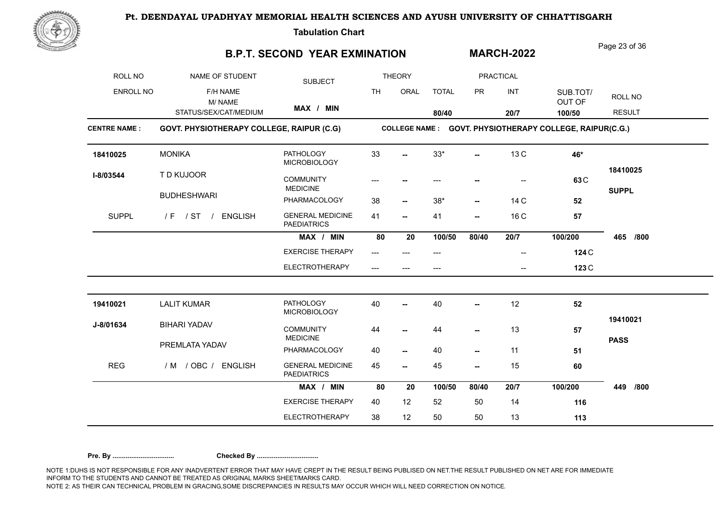

**Tabulation Chart** 

### **B.P.T. SECOND YEAR EXMINATION**

Page 23 of 36

**MARCH-2022**

| ROLL NO             | NAME OF STUDENT                           | <b>SUBJECT</b>                                |           | <b>THEORY</b>            |              |                          | <b>PRACTICAL</b> |                                                          |               |
|---------------------|-------------------------------------------|-----------------------------------------------|-----------|--------------------------|--------------|--------------------------|------------------|----------------------------------------------------------|---------------|
| <b>ENROLL NO</b>    | F/H NAME<br>M/NAME                        |                                               | <b>TH</b> | ORAL                     | <b>TOTAL</b> | <b>PR</b>                | INT              | SUB.TOT/<br>OUT OF                                       | ROLL NO       |
|                     | STATUS/SEX/CAT/MEDIUM                     | MAX / MIN                                     |           |                          | 80/40        |                          | 20/7             | 100/50                                                   | <b>RESULT</b> |
| <b>CENTRE NAME:</b> | GOVT. PHYSIOTHERAPY COLLEGE, RAIPUR (C.G) |                                               |           |                          |              |                          |                  | COLLEGE NAME : GOVT. PHYSIOTHERAPY COLLEGE, RAIPUR(C.G.) |               |
| 18410025            | <b>MONIKA</b>                             | <b>PATHOLOGY</b><br><b>MICROBIOLOGY</b>       | 33        |                          | $33*$        | $\overline{a}$           | 13 C             | 46*                                                      |               |
| I-8/03544           | T D KUJOOR                                | <b>COMMUNITY</b><br><b>MEDICINE</b>           |           |                          |              |                          |                  | 63 <sub>C</sub>                                          | 18410025      |
|                     | <b>BUDHESHWARI</b>                        | PHARMACOLOGY                                  | 38        | $\overline{\phantom{a}}$ | $38*$        | $\overline{\phantom{a}}$ | 14 C             | 52                                                       | <b>SUPPL</b>  |
| <b>SUPPL</b>        | / F / ST / ENGLISH                        | <b>GENERAL MEDICINE</b><br><b>PAEDIATRICS</b> | 41        | $\overline{\phantom{a}}$ | 41           | --                       | 16 C             | ${\bf 57}$                                               |               |
|                     |                                           | MAX / MIN                                     | 80        | 20                       | 100/50       | 80/40                    | 20/7             | 100/200                                                  | 465<br>/800   |
|                     |                                           | <b>EXERCISE THERAPY</b>                       | ---       |                          | ---          |                          | $-$              | 124 C                                                    |               |
|                     |                                           | <b>ELECTROTHERAPY</b>                         |           |                          | ---          |                          | --               | 123 C                                                    |               |
| 19410021            | <b>LALIT KUMAR</b>                        | <b>PATHOLOGY</b>                              | 40        |                          | 40           | --                       | 12               | 52                                                       |               |
| J-8/01634           | <b>BIHARI YADAV</b>                       | MICROBIOLOGY<br><b>COMMUNITY</b>              | 44        | --                       | 44           | --                       | 13               | 57                                                       | 19410021      |
|                     | PREMLATA YADAV                            | <b>MEDICINE</b><br>PHARMACOLOGY               | 40        | $\overline{\phantom{a}}$ | 40           | $\overline{\phantom{a}}$ | 11               | 51                                                       | <b>PASS</b>   |
| <b>REG</b>          | / M / OBC / ENGLISH                       | <b>GENERAL MEDICINE</b><br><b>PAEDIATRICS</b> | 45        | --                       | 45           | --                       | 15               | 60                                                       |               |
|                     |                                           | MAX / MIN                                     | 80        | 20                       | 100/50       | 80/40                    | 20/7             | 100/200                                                  | 449<br>/800   |
|                     |                                           | <b>EXERCISE THERAPY</b>                       | 40        | 12                       | 52           | 50                       | 14               | 116                                                      |               |
|                     |                                           | <b>ELECTROTHERAPY</b>                         | 38        | 12                       | 50           | 50                       | 13               | 113                                                      |               |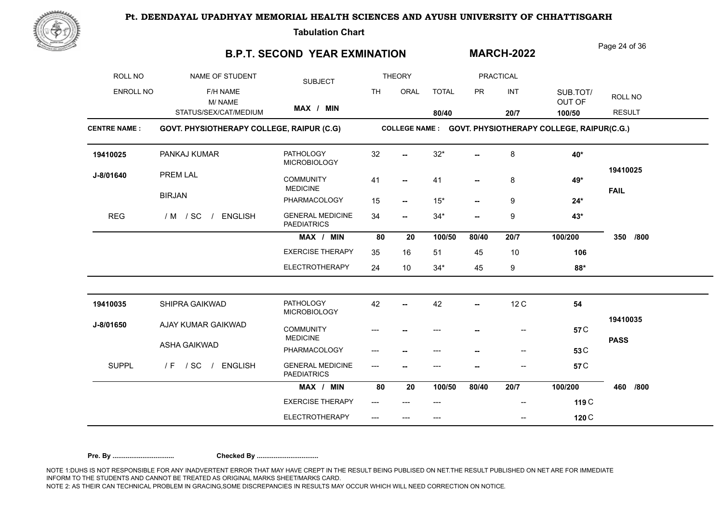

**Tabulation Chart** 

## **B.P.T. SECOND YEAR EXMINATION**

Page 24 of 36

**MARCH-2022**

| ROLL NO             | NAME OF STUDENT                           | <b>SUBJECT</b>                                |           | <b>THEORY</b>            |              |           | <b>PRACTICAL</b> |                                                          |                         |
|---------------------|-------------------------------------------|-----------------------------------------------|-----------|--------------------------|--------------|-----------|------------------|----------------------------------------------------------|-------------------------|
| <b>ENROLL NO</b>    | F/H NAME<br>M/NAME                        |                                               | <b>TH</b> | ORAL                     | <b>TOTAL</b> | <b>PR</b> | INT              | SUB.TOT/<br>OUT OF                                       | ROLL NO                 |
|                     | STATUS/SEX/CAT/MEDIUM                     | MAX / MIN                                     |           |                          | 80/40        |           | 20/7             | 100/50                                                   | <b>RESULT</b>           |
| <b>CENTRE NAME:</b> | GOVT. PHYSIOTHERAPY COLLEGE, RAIPUR (C.G) |                                               |           |                          |              |           |                  | COLLEGE NAME : GOVT. PHYSIOTHERAPY COLLEGE, RAIPUR(C.G.) |                         |
| 19410025            | PANKAJ KUMAR                              | <b>PATHOLOGY</b><br><b>MICROBIOLOGY</b>       | 32        |                          | $32^{\star}$ |           | 8                | 40*                                                      |                         |
| J-8/01640           | <b>PREM LAL</b>                           | <b>COMMUNITY</b><br><b>MEDICINE</b>           | 41        | $\overline{\phantom{a}}$ | 41           |           | 8                | 49*                                                      | 19410025<br><b>FAIL</b> |
|                     | <b>BIRJAN</b>                             | PHARMACOLOGY                                  | 15        | $\overline{\phantom{a}}$ | $15*$        | --        | 9                | $24*$                                                    |                         |
| <b>REG</b>          | / M / SC /<br><b>ENGLISH</b>              | <b>GENERAL MEDICINE</b><br><b>PAEDIATRICS</b> | 34        | $\overline{\phantom{a}}$ | $34*$        | --        | 9                | 43*                                                      |                         |
|                     |                                           | MAX / MIN                                     | 80        | 20                       | 100/50       | 80/40     | 20/7             | 100/200                                                  | 350<br>/800             |
|                     |                                           | <b>EXERCISE THERAPY</b>                       | 35        | 16                       | 51           | 45        | 10               | 106                                                      |                         |
|                     |                                           | <b>ELECTROTHERAPY</b>                         | 24        | 10                       | $34*$        | 45        | 9                | 88*                                                      |                         |
| 19410035            | SHIPRA GAIKWAD                            | <b>PATHOLOGY</b><br><b>MICROBIOLOGY</b>       | 42        |                          | 42           | Ξ.        | 12C              | 54                                                       |                         |
| J-8/01650           | AJAY KUMAR GAIKWAD                        | <b>COMMUNITY</b><br><b>MEDICINE</b>           |           |                          |              |           | --               | 57 <sub>C</sub>                                          | 19410035                |
|                     | ASHA GAIKWAD                              | PHARMACOLOGY                                  |           |                          | ---          |           | $\overline{a}$   | 53 <sub>C</sub>                                          | <b>PASS</b>             |
| <b>SUPPL</b>        | $/$ SC<br>/ ENGLISH<br>/ F                | <b>GENERAL MEDICINE</b><br><b>PAEDIATRICS</b> | ---       |                          |              |           |                  | 57 <sub>C</sub>                                          |                         |
|                     |                                           | MAX / MIN                                     | 80        | 20                       | 100/50       | 80/40     | 20/7             | 100/200                                                  | 460<br>/800             |
|                     |                                           | <b>EXERCISE THERAPY</b>                       |           |                          |              |           |                  | 119 C                                                    |                         |
|                     |                                           | <b>ELECTROTHERAPY</b>                         |           | ---                      | $---$        |           | --               | 120 C                                                    |                         |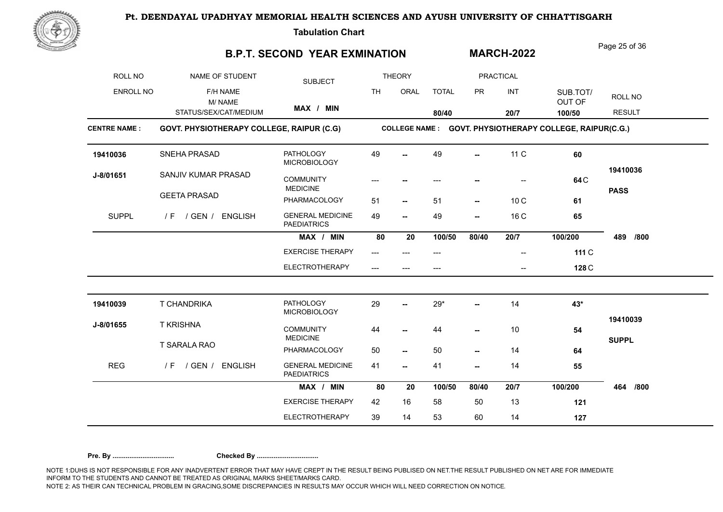

**Tabulation Chart** 

## **B.P.T. SECOND YEAR EXMINATION**

Page 25 of 36

**MARCH-2022**

| ROLL NO             | NAME OF STUDENT                           | <b>SUBJECT</b>                                |           | <b>THEORY</b>            |              |                          | <b>PRACTICAL</b>         |                                                          |               |
|---------------------|-------------------------------------------|-----------------------------------------------|-----------|--------------------------|--------------|--------------------------|--------------------------|----------------------------------------------------------|---------------|
| ENROLL NO           | F/H NAME<br>M/NAME                        |                                               | <b>TH</b> | ORAL                     | <b>TOTAL</b> | <b>PR</b>                | INT                      | SUB.TOT/<br>OUT OF                                       | ROLL NO       |
|                     | STATUS/SEX/CAT/MEDIUM                     | MAX / MIN                                     |           |                          | 80/40        |                          | 20/7                     | 100/50                                                   | <b>RESULT</b> |
| <b>CENTRE NAME:</b> | GOVT. PHYSIOTHERAPY COLLEGE, RAIPUR (C.G) |                                               |           |                          |              |                          |                          | COLLEGE NAME : GOVT. PHYSIOTHERAPY COLLEGE, RAIPUR(C.G.) |               |
| 19410036            | SNEHA PRASAD                              | <b>PATHOLOGY</b><br><b>MICROBIOLOGY</b>       | 49        |                          | 49           | --                       | 11 C                     | 60                                                       |               |
| J-8/01651           | SANJIV KUMAR PRASAD                       | <b>COMMUNITY</b><br><b>MEDICINE</b>           |           |                          |              |                          |                          | 64 C                                                     | 19410036      |
|                     | <b>GEETA PRASAD</b>                       | PHARMACOLOGY                                  | 51        | $\overline{\phantom{a}}$ | 51           | $\overline{\phantom{a}}$ | 10 <sub>C</sub>          | 61                                                       | <b>PASS</b>   |
| <b>SUPPL</b>        | / GEN / ENGLISH<br>/ F                    | <b>GENERAL MEDICINE</b><br><b>PAEDIATRICS</b> | 49        | −−                       | 49           | --                       | 16 C                     | 65                                                       |               |
|                     |                                           | MAX / MIN                                     | 80        | 20                       | 100/50       | 80/40                    | 20/7                     | 100/200                                                  | 489<br>/800   |
|                     |                                           | <b>EXERCISE THERAPY</b>                       | $---$     | $---$                    | ---          |                          | $\overline{\phantom{a}}$ | 111 C                                                    |               |
|                     |                                           | <b>ELECTROTHERAPY</b>                         |           |                          |              |                          |                          | 128 C                                                    |               |
| 19410039            | T CHANDRIKA                               | <b>PATHOLOGY</b><br><b>MICROBIOLOGY</b>       | 29        |                          | $29*$        |                          | 14                       | 43*                                                      |               |
| J-8/01655           | <b>T KRISHNA</b>                          | <b>COMMUNITY</b><br><b>MEDICINE</b>           | 44        | --                       | 44           | --                       | 10                       | 54                                                       | 19410039      |
|                     | T SARALA RAO                              | PHARMACOLOGY                                  | 50        | $\overline{\phantom{a}}$ | 50           | --                       | 14                       | 64                                                       | <b>SUPPL</b>  |
| <b>REG</b>          | / GEN /<br><b>ENGLISH</b><br>/ F          | <b>GENERAL MEDICINE</b><br><b>PAEDIATRICS</b> | 41        | --                       | 41           | --                       | 14                       | 55                                                       |               |
|                     |                                           | MAX / MIN                                     | 80        | 20                       | 100/50       | 80/40                    | 20/7                     | 100/200                                                  | 464<br>/800   |
|                     |                                           | <b>EXERCISE THERAPY</b>                       | 42        | 16                       | 58           | 50                       | 13                       | 121                                                      |               |
|                     |                                           | <b>ELECTROTHERAPY</b>                         | 39        | 14                       | 53           | 60                       | 14                       | 127                                                      |               |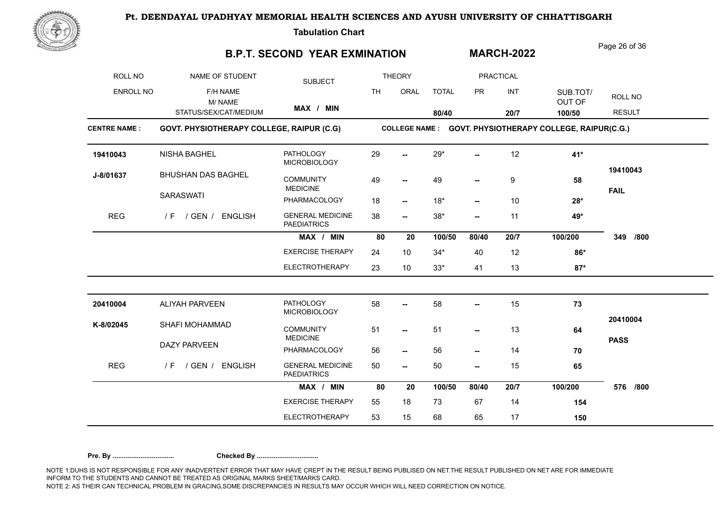

**Tabulation Chart** 

### **B.P.T. SECOND YEAR EXMINATION**

Page 26 of 36

**MARCH-2022**

| ROLL NO             | NAME OF STUDENT                           | <b>SUBJECT</b>                                |           | <b>THEORY</b>            |              |                          | <b>PRACTICAL</b> |                                                          |               |
|---------------------|-------------------------------------------|-----------------------------------------------|-----------|--------------------------|--------------|--------------------------|------------------|----------------------------------------------------------|---------------|
| ENROLL NO           | F/H NAME<br>M/NAME                        |                                               | <b>TH</b> | ORAL                     | <b>TOTAL</b> | <b>PR</b>                | INT              | SUB.TOT/<br>OUT OF                                       | ROLL NO       |
|                     | STATUS/SEX/CAT/MEDIUM                     | MAX / MIN                                     |           |                          | 80/40        |                          | 20/7             | 100/50                                                   | <b>RESULT</b> |
| <b>CENTRE NAME:</b> | GOVT. PHYSIOTHERAPY COLLEGE, RAIPUR (C.G) |                                               |           |                          |              |                          |                  | COLLEGE NAME : GOVT. PHYSIOTHERAPY COLLEGE, RAIPUR(C.G.) |               |
| 19410043            | NISHA BAGHEL                              | <b>PATHOLOGY</b><br><b>MICROBIOLOGY</b>       | 29        |                          | $29*$        |                          | 12               | 41*                                                      |               |
| J-8/01637           | <b>BHUSHAN DAS BAGHEL</b>                 | <b>COMMUNITY</b><br><b>MEDICINE</b>           | 49        | -−                       | 49           |                          | 9                | 58                                                       | 19410043      |
|                     | <b>SARASWATI</b>                          | PHARMACOLOGY                                  | 18        | $\overline{\phantom{a}}$ | $18*$        | $\overline{\phantom{a}}$ | 10               | $28*$                                                    | <b>FAIL</b>   |
| <b>REG</b>          | / GEN / ENGLISH<br>/ F                    | <b>GENERAL MEDICINE</b><br><b>PAEDIATRICS</b> | 38        | $\overline{\phantom{a}}$ | $38*$        | --                       | 11               | 49*                                                      |               |
|                     |                                           | MAX / MIN                                     | 80        | 20                       | 100/50       | 80/40                    | 20/7             | 100/200                                                  | 349<br>/800   |
|                     |                                           | <b>EXERCISE THERAPY</b>                       | 24        | 10                       | $34*$        | 40                       | 12               | 86*                                                      |               |
|                     |                                           | <b>ELECTROTHERAPY</b>                         | 23        | 10                       | $33*$        | 41                       | 13               | $87*$                                                    |               |
| 20410004            | ALIYAH PARVEEN                            | <b>PATHOLOGY</b>                              | 58        | --                       | 58           | --                       | 15               | 73                                                       |               |
|                     |                                           | <b>MICROBIOLOGY</b>                           |           |                          |              |                          |                  |                                                          | 20410004      |
| K-8/02045           | SHAFI MOHAMMAD                            | <b>COMMUNITY</b><br><b>MEDICINE</b>           | 51        | $\overline{\phantom{a}}$ | 51           | --                       | 13               | 64                                                       |               |
|                     | <b>DAZY PARVEEN</b>                       | PHARMACOLOGY                                  | 56        | $\overline{\phantom{a}}$ | 56           | --                       | 14               | 70                                                       | <b>PASS</b>   |
| <b>REG</b>          | / GEN / ENGLISH<br>/ F                    | <b>GENERAL MEDICINE</b><br><b>PAEDIATRICS</b> | 50        | $\overline{\phantom{a}}$ | 50           | --                       | 15               | 65                                                       |               |
|                     |                                           | MAX / MIN                                     | 80        | 20                       | 100/50       | 80/40                    | 20/7             | 100/200                                                  | 576<br>/800   |
|                     |                                           | <b>EXERCISE THERAPY</b>                       | 55        | 18                       | 73           | 67                       | 14               | 154                                                      |               |
|                     |                                           | <b>ELECTROTHERAPY</b>                         | 53        | 15                       | 68           | 65                       | 17               | 150                                                      |               |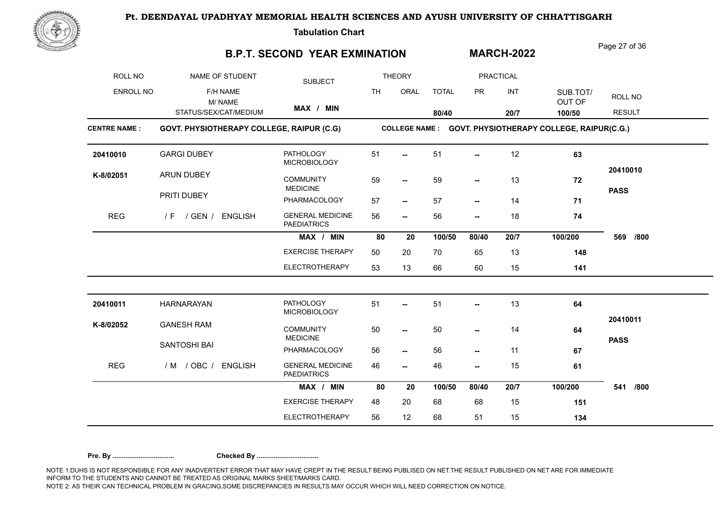

**Tabulation Chart** 

### **B.P.T. SECOND YEAR EXMINATION**

Page 27 of 36

**MARCH-2022**

| ROLL NO             | NAME OF STUDENT                           | <b>SUBJECT</b>                                |           | <b>THEORY</b>            |              |                          | <b>PRACTICAL</b> |                                                          |                         |
|---------------------|-------------------------------------------|-----------------------------------------------|-----------|--------------------------|--------------|--------------------------|------------------|----------------------------------------------------------|-------------------------|
| <b>ENROLL NO</b>    | F/H NAME<br>M/NAME                        |                                               | <b>TH</b> | ORAL                     | <b>TOTAL</b> | <b>PR</b>                | INT              | SUB.TOT/<br>OUT OF                                       | ROLL NO                 |
|                     | STATUS/SEX/CAT/MEDIUM                     | MAX / MIN                                     |           |                          | 80/40        |                          | 20/7             | 100/50                                                   | <b>RESULT</b>           |
| <b>CENTRE NAME:</b> | GOVT. PHYSIOTHERAPY COLLEGE, RAIPUR (C.G) |                                               |           |                          |              |                          |                  | COLLEGE NAME : GOVT. PHYSIOTHERAPY COLLEGE, RAIPUR(C.G.) |                         |
| 20410010            | <b>GARGI DUBEY</b>                        | <b>PATHOLOGY</b><br><b>MICROBIOLOGY</b>       | 51        | $\overline{\phantom{0}}$ | 51           | $\overline{\phantom{a}}$ | 12               | 63                                                       |                         |
| K-8/02051           | <b>ARUN DUBEY</b>                         | <b>COMMUNITY</b><br><b>MEDICINE</b>           | 59        | $\overline{\phantom{a}}$ | 59           | --                       | 13               | 72                                                       | 20410010<br><b>PASS</b> |
|                     | PRITI DUBEY                               | PHARMACOLOGY                                  | 57        | $\overline{\phantom{a}}$ | 57           | $\overline{\phantom{a}}$ | 14               | 71                                                       |                         |
| <b>REG</b>          | / F / GEN / ENGLISH                       | <b>GENERAL MEDICINE</b><br><b>PAEDIATRICS</b> | 56        | $\overline{\phantom{a}}$ | 56           | $\overline{\phantom{a}}$ | 18               | 74                                                       |                         |
|                     |                                           | MAX / MIN                                     | 80        | 20                       | 100/50       | 80/40                    | 20/7             | 100/200                                                  | 569<br>/800             |
|                     |                                           | <b>EXERCISE THERAPY</b>                       | 50        | 20                       | 70           | 65                       | 13               | 148                                                      |                         |
|                     |                                           | <b>ELECTROTHERAPY</b>                         | 53        | 13                       | 66           | 60                       | 15               | 141                                                      |                         |
| 20410011            | <b>HARNARAYAN</b>                         | <b>PATHOLOGY</b><br>MICROBIOLOGY              | 51        | --                       | 51           | --                       | 13               | 64                                                       |                         |
| K-8/02052           | <b>GANESH RAM</b>                         | <b>COMMUNITY</b><br><b>MEDICINE</b>           | 50        | $\overline{\phantom{a}}$ | 50           | --                       | 14               | 64                                                       | 20410011<br><b>PASS</b> |
|                     | SANTOSHI BAI                              | PHARMACOLOGY                                  | 56        | $\overline{\phantom{a}}$ | 56           | --                       | 11               | 67                                                       |                         |
| <b>REG</b>          | / M / OBC / ENGLISH                       | <b>GENERAL MEDICINE</b><br><b>PAEDIATRICS</b> | 46        | $\overline{\phantom{a}}$ | 46           | --                       | 15               | 61                                                       |                         |
|                     |                                           | MAX / MIN                                     | 80        | 20                       | 100/50       | 80/40                    | 20/7             | 100/200                                                  | 541<br>/800             |
|                     |                                           | <b>EXERCISE THERAPY</b>                       | 48        | 20                       | 68           | 68                       | 15               | 151                                                      |                         |
|                     |                                           | <b>ELECTROTHERAPY</b>                         | 56        | 12                       | 68           | 51                       | 15               | 134                                                      |                         |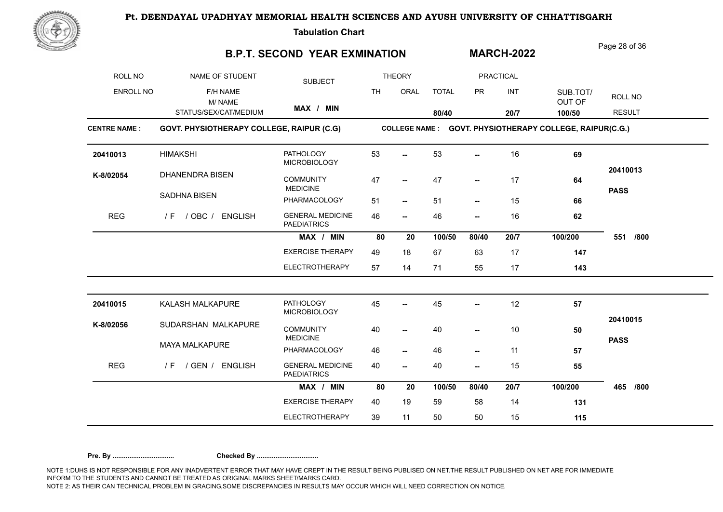

**Tabulation Chart** 

## **B.P.T. SECOND YEAR EXMINATION**

Page 28 of 36

**MARCH-2022**

| ROLL NO             | NAME OF STUDENT                           | <b>SUBJECT</b>                                |           | <b>THEORY</b>            |              |                          | <b>PRACTICAL</b> |                                                          |                         |
|---------------------|-------------------------------------------|-----------------------------------------------|-----------|--------------------------|--------------|--------------------------|------------------|----------------------------------------------------------|-------------------------|
| ENROLL NO           | F/H NAME<br>M/NAME                        |                                               | <b>TH</b> | ORAL                     | <b>TOTAL</b> | <b>PR</b>                | INT              | SUB.TOT/<br>OUT OF                                       | ROLL NO                 |
|                     | STATUS/SEX/CAT/MEDIUM                     | MAX / MIN                                     |           |                          | 80/40        |                          | 20/7             | 100/50                                                   | <b>RESULT</b>           |
| <b>CENTRE NAME:</b> | GOVT. PHYSIOTHERAPY COLLEGE, RAIPUR (C.G) |                                               |           |                          |              |                          |                  | COLLEGE NAME : GOVT. PHYSIOTHERAPY COLLEGE, RAIPUR(C.G.) |                         |
| 20410013            | <b>HIMAKSHI</b>                           | <b>PATHOLOGY</b><br><b>MICROBIOLOGY</b>       | 53        |                          | 53           |                          | 16               | 69                                                       |                         |
| K-8/02054           | <b>DHANENDRA BISEN</b>                    | <b>COMMUNITY</b><br><b>MEDICINE</b>           | 47        | $\overline{\phantom{a}}$ | 47           | --                       | 17               | 64                                                       | 20410013<br><b>PASS</b> |
|                     | SADHNA BISEN                              | PHARMACOLOGY                                  | 51        | $\overline{\phantom{a}}$ | 51           | $\overline{\phantom{a}}$ | 15               | 66                                                       |                         |
| <b>REG</b>          | / OBC / ENGLISH<br>/ F                    | <b>GENERAL MEDICINE</b><br><b>PAEDIATRICS</b> | 46        | -−                       | 46           | --                       | 16               | 62                                                       |                         |
|                     |                                           | MAX / MIN                                     | 80        | 20                       | 100/50       | 80/40                    | 20/7             | 100/200                                                  | 551<br>/800             |
|                     |                                           | <b>EXERCISE THERAPY</b>                       | 49        | 18                       | 67           | 63                       | 17               | 147                                                      |                         |
|                     |                                           | <b>ELECTROTHERAPY</b>                         | 57        | 14                       | 71           | 55                       | 17               | 143                                                      |                         |
| 20410015            | KALASH MALKAPURE                          | <b>PATHOLOGY</b><br><b>MICROBIOLOGY</b>       | 45        |                          | 45           |                          | 12               | 57                                                       |                         |
| K-8/02056           | SUDARSHAN MALKAPURE                       | <b>COMMUNITY</b><br><b>MEDICINE</b>           | 40        | −−                       | 40           | Ξ.                       | 10               | 50                                                       | 20410015                |
|                     | <b>MAYA MALKAPURE</b>                     | PHARMACOLOGY                                  | 46        | $\overline{\phantom{a}}$ | 46           | --                       | 11               | 57                                                       | <b>PASS</b>             |
| <b>REG</b>          | / GEN / ENGLISH<br>/ F                    | <b>GENERAL MEDICINE</b><br><b>PAEDIATRICS</b> | 40        | ⊷                        | 40           | --                       | 15               | 55                                                       |                         |
|                     |                                           | MAX / MIN                                     | 80        | 20                       | 100/50       | 80/40                    | 20/7             | 100/200                                                  | 465<br>/800             |
|                     |                                           | <b>EXERCISE THERAPY</b>                       | 40        | 19                       | 59           | 58                       | 14               | 131                                                      |                         |
|                     |                                           | <b>ELECTROTHERAPY</b>                         | 39        | 11                       | 50           | 50                       | 15               | 115                                                      |                         |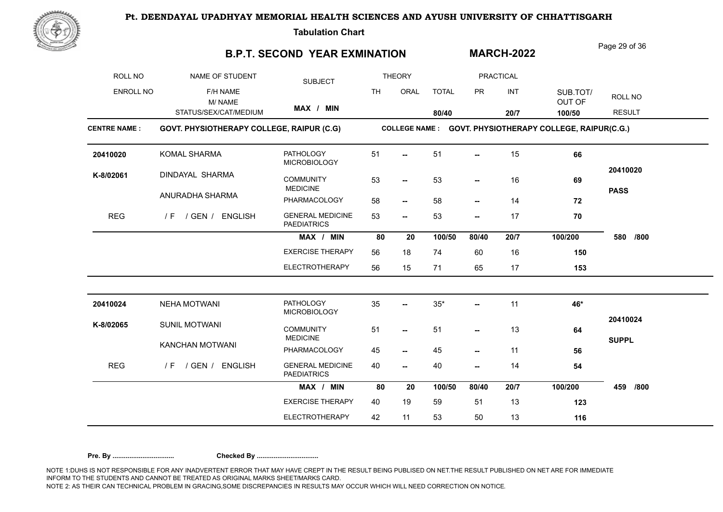

**Tabulation Chart** 

## **B.P.T. SECOND YEAR EXMINATION**

Page 29 of 36

**MARCH-2022**

| ROLL NO             | NAME OF STUDENT                           | <b>SUBJECT</b>                                |           | <b>THEORY</b>            |              |                          | <b>PRACTICAL</b> |                                                          |                         |
|---------------------|-------------------------------------------|-----------------------------------------------|-----------|--------------------------|--------------|--------------------------|------------------|----------------------------------------------------------|-------------------------|
| <b>ENROLL NO</b>    | F/H NAME<br>M/NAME                        |                                               | <b>TH</b> | ORAL                     | <b>TOTAL</b> | <b>PR</b>                | <b>INT</b>       | SUB.TOT/<br>OUT OF                                       | ROLL NO                 |
|                     | STATUS/SEX/CAT/MEDIUM                     | MAX / MIN                                     |           |                          | 80/40        |                          | 20/7             | 100/50                                                   | <b>RESULT</b>           |
| <b>CENTRE NAME:</b> | GOVT. PHYSIOTHERAPY COLLEGE, RAIPUR (C.G) |                                               |           |                          |              |                          |                  | COLLEGE NAME : GOVT. PHYSIOTHERAPY COLLEGE, RAIPUR(C.G.) |                         |
| 20410020            | KOMAL SHARMA                              | <b>PATHOLOGY</b><br><b>MICROBIOLOGY</b>       | 51        |                          | 51           | --                       | 15               | 66                                                       |                         |
| K-8/02061           | DINDAYAL SHARMA                           | <b>COMMUNITY</b><br><b>MEDICINE</b>           | 53        | $\overline{\phantom{a}}$ | 53           | $\overline{a}$           | 16               | 69                                                       | 20410020<br><b>PASS</b> |
|                     | ANURADHA SHARMA                           | PHARMACOLOGY                                  | 58        | $\overline{\phantom{a}}$ | 58           | $\overline{\phantom{a}}$ | 14               | 72                                                       |                         |
| <b>REG</b>          | / F / GEN / ENGLISH                       | <b>GENERAL MEDICINE</b><br><b>PAEDIATRICS</b> | 53        | $\overline{\phantom{a}}$ | 53           | --                       | 17               | 70                                                       |                         |
|                     |                                           | MAX / MIN                                     | 80        | 20                       | 100/50       | 80/40                    | 20/7             | 100/200                                                  | 580<br>/800             |
|                     |                                           | <b>EXERCISE THERAPY</b>                       | 56        | 18                       | 74           | 60                       | 16               | 150                                                      |                         |
|                     |                                           | <b>ELECTROTHERAPY</b>                         | 56        | 15                       | 71           | 65                       | 17               | 153                                                      |                         |
| 20410024            | <b>NEHA MOTWANI</b>                       | <b>PATHOLOGY</b>                              | 35        | −−                       | $35^{\ast}$  | --                       | 11               | 46*                                                      |                         |
| K-8/02065           | <b>SUNIL MOTWANI</b>                      | <b>MICROBIOLOGY</b><br><b>COMMUNITY</b>       | 51        | $\overline{\phantom{a}}$ | 51           | $\overline{\phantom{a}}$ | 13               | 64                                                       | 20410024                |
|                     | KANCHAN MOTWANI                           | <b>MEDICINE</b><br>PHARMACOLOGY               | 45        | $\overline{\phantom{a}}$ | 45           | $\overline{\phantom{a}}$ | 11               | 56                                                       | <b>SUPPL</b>            |
| <b>REG</b>          | / GEN / ENGLISH<br>/F                     | <b>GENERAL MEDICINE</b><br><b>PAEDIATRICS</b> | 40        | --                       | 40           | --                       | 14               | 54                                                       |                         |
|                     |                                           | MAX / MIN                                     | 80        | 20                       | 100/50       | 80/40                    | 20/7             | 100/200                                                  | 459<br>/800             |
|                     |                                           | <b>EXERCISE THERAPY</b>                       | 40        | 19                       | 59           | 51                       | 13               | 123                                                      |                         |
|                     |                                           | <b>ELECTROTHERAPY</b>                         | 42        | 11                       | 53           | 50                       | 13               | 116                                                      |                         |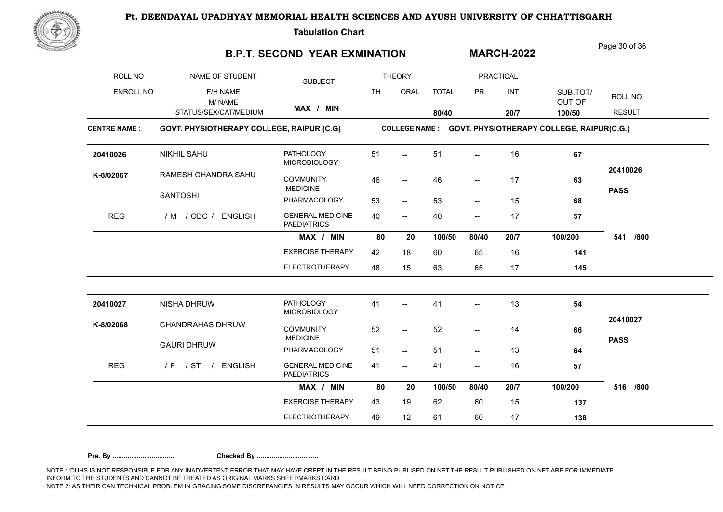

**Tabulation Chart** 

### **B.P.T. SECOND YEAR EXMINATION**

Page 30 of 36

**MARCH-2022**

| ROLL NO             | NAME OF STUDENT                           | <b>SUBJECT</b>                                |           | <b>THEORY</b>            |              |                          | <b>PRACTICAL</b> |                                                          |                         |
|---------------------|-------------------------------------------|-----------------------------------------------|-----------|--------------------------|--------------|--------------------------|------------------|----------------------------------------------------------|-------------------------|
| <b>ENROLL NO</b>    | F/H NAME<br>M/NAME                        |                                               | <b>TH</b> | ORAL                     | <b>TOTAL</b> | <b>PR</b>                | INT              | SUB.TOT/<br>OUT OF                                       | ROLL NO                 |
|                     | STATUS/SEX/CAT/MEDIUM                     | MAX / MIN                                     |           |                          | 80/40        |                          | 20/7             | 100/50                                                   | <b>RESULT</b>           |
| <b>CENTRE NAME:</b> | GOVT. PHYSIOTHERAPY COLLEGE, RAIPUR (C.G) |                                               |           |                          |              |                          |                  | COLLEGE NAME : GOVT. PHYSIOTHERAPY COLLEGE, RAIPUR(C.G.) |                         |
| 20410026            | <b>NIKHIL SAHU</b>                        | <b>PATHOLOGY</b><br><b>MICROBIOLOGY</b>       | 51        | ш.                       | 51           |                          | 16               | 67                                                       |                         |
| K-8/02067           | RAMESH CHANDRA SAHU                       | <b>COMMUNITY</b><br><b>MEDICINE</b>           | 46        | $\overline{\phantom{a}}$ | 46           | --                       | 17               | 63                                                       | 20410026<br><b>PASS</b> |
|                     | <b>SANTOSHI</b>                           | PHARMACOLOGY                                  | 53        | $\overline{\phantom{a}}$ | 53           | $\overline{\phantom{a}}$ | 15               | 68                                                       |                         |
| <b>REG</b>          | / M / OBC / ENGLISH                       | <b>GENERAL MEDICINE</b><br><b>PAEDIATRICS</b> | 40        | $\overline{\phantom{a}}$ | 40           | $\overline{\phantom{a}}$ | 17               | 57                                                       |                         |
|                     |                                           | MAX / MIN                                     | 80        | 20                       | 100/50       | 80/40                    | 20/7             | 100/200                                                  | /800<br>541             |
|                     |                                           | <b>EXERCISE THERAPY</b>                       | 42        | 18                       | 60           | 65                       | 16               | 141                                                      |                         |
|                     |                                           | <b>ELECTROTHERAPY</b>                         | 48        | 15                       | 63           | 65                       | 17               | 145                                                      |                         |
| 20410027            | NISHA DHRUW                               | <b>PATHOLOGY</b><br><b>MICROBIOLOGY</b>       | 41        | --                       | 41           | --                       | 13               | 54                                                       |                         |
| K-8/02068           | <b>CHANDRAHAS DHRUW</b>                   | <b>COMMUNITY</b><br><b>MEDICINE</b>           | 52        | $\overline{\phantom{a}}$ | 52           | ۰.                       | 14               | 66                                                       | 20410027                |
|                     | <b>GAURI DHRUW</b>                        | PHARMACOLOGY                                  | 51        | $\overline{\phantom{a}}$ | 51           | --                       | 13               | 64                                                       | <b>PASS</b>             |
| <b>REG</b>          | /F / ST / ENGLISH                         | <b>GENERAL MEDICINE</b><br><b>PAEDIATRICS</b> | 41        | $\overline{\phantom{a}}$ | 41           | --                       | 16               | 57                                                       |                         |
|                     |                                           | MAX / MIN                                     | 80        | 20                       | 100/50       | 80/40                    | 20/7             | 100/200                                                  | 516<br>/800             |
|                     |                                           | <b>EXERCISE THERAPY</b>                       | 43        | 19                       | 62           | 60                       | 15               | 137                                                      |                         |
|                     |                                           | <b>ELECTROTHERAPY</b>                         | 49        | 12                       | 61           | 60                       | 17               | 138                                                      |                         |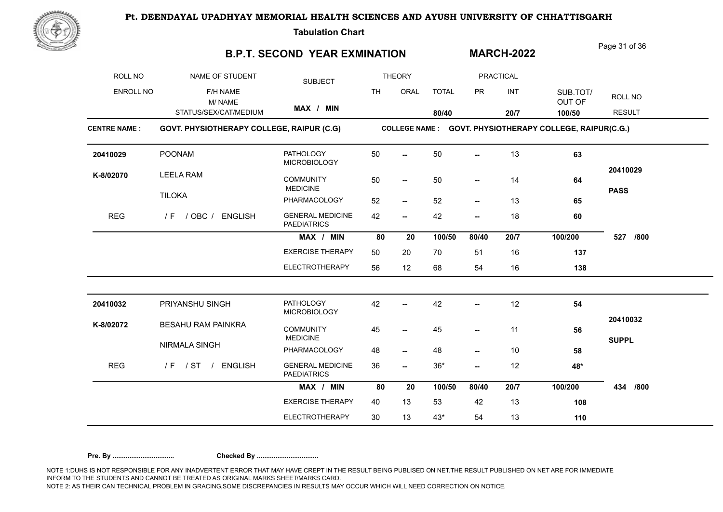

**Tabulation Chart** 

## **B.P.T. SECOND YEAR EXMINATION**

Page 31 of 36

**MARCH-2022**

| ROLL NO             | NAME OF STUDENT                           | <b>SUBJECT</b>                                |           | <b>THEORY</b>            |              |                          | <b>PRACTICAL</b> |                                                          |                         |
|---------------------|-------------------------------------------|-----------------------------------------------|-----------|--------------------------|--------------|--------------------------|------------------|----------------------------------------------------------|-------------------------|
| <b>ENROLL NO</b>    | F/H NAME<br>M/NAME                        |                                               | <b>TH</b> | ORAL                     | <b>TOTAL</b> | <b>PR</b>                | INT              | SUB.TOT/<br>OUT OF                                       | ROLL NO                 |
|                     | STATUS/SEX/CAT/MEDIUM                     | MAX / MIN                                     |           |                          | 80/40        |                          | 20/7             | 100/50                                                   | <b>RESULT</b>           |
| <b>CENTRE NAME:</b> | GOVT. PHYSIOTHERAPY COLLEGE, RAIPUR (C.G) |                                               |           |                          |              |                          |                  | COLLEGE NAME : GOVT. PHYSIOTHERAPY COLLEGE, RAIPUR(C.G.) |                         |
| 20410029            | <b>POONAM</b>                             | <b>PATHOLOGY</b><br><b>MICROBIOLOGY</b>       | 50        | ш.                       | 50           | $\overline{a}$           | 13               | 63                                                       |                         |
| K-8/02070           | <b>LEELA RAM</b>                          | <b>COMMUNITY</b><br><b>MEDICINE</b>           | 50        | $\overline{\phantom{a}}$ | 50           | $\overline{a}$           | 14               | 64                                                       | 20410029<br><b>PASS</b> |
|                     | <b>TILOKA</b>                             | PHARMACOLOGY                                  | 52        | $\overline{\phantom{a}}$ | 52           | $\overline{\phantom{a}}$ | 13               | 65                                                       |                         |
| <b>REG</b>          | / F / OBC / ENGLISH                       | <b>GENERAL MEDICINE</b><br><b>PAEDIATRICS</b> | 42        | $\overline{\phantom{a}}$ | 42           | $\overline{\phantom{a}}$ | 18               | 60                                                       |                         |
|                     |                                           | MAX / MIN                                     | 80        | 20                       | 100/50       | 80/40                    | 20/7             | 100/200                                                  | 527<br>/800             |
|                     |                                           | <b>EXERCISE THERAPY</b>                       | 50        | 20                       | 70           | 51                       | 16               | 137                                                      |                         |
|                     |                                           | <b>ELECTROTHERAPY</b>                         | 56        | 12                       | 68           | 54                       | 16               | 138                                                      |                         |
| 20410032            | PRIYANSHU SINGH                           | <b>PATHOLOGY</b>                              | 42        | --                       | 42           | Ξ.                       | 12               | 54                                                       |                         |
| K-8/02072           | <b>BESAHU RAM PAINKRA</b>                 | <b>MICROBIOLOGY</b><br><b>COMMUNITY</b>       | 45        | $\overline{\phantom{a}}$ | 45           | --                       | 11               | 56                                                       | 20410032                |
|                     | NIRMALA SINGH                             | <b>MEDICINE</b><br>PHARMACOLOGY               | 48        | $\overline{\phantom{a}}$ | 48           | --                       | 10               | 58                                                       | <b>SUPPL</b>            |
| <b>REG</b>          | /F / ST / ENGLISH                         | <b>GENERAL MEDICINE</b><br><b>PAEDIATRICS</b> | 36        | --                       | $36*$        | Ξ.                       | 12               | 48*                                                      |                         |
|                     |                                           | MAX / MIN                                     | 80        | 20                       | 100/50       | 80/40                    | 20/7             | 100/200                                                  | 434<br>/800             |
|                     |                                           | <b>EXERCISE THERAPY</b>                       | 40        | 13                       | 53           | 42                       | 13               | 108                                                      |                         |
|                     |                                           | <b>ELECTROTHERAPY</b>                         | 30        | 13                       | $43*$        | 54                       | 13               | 110                                                      |                         |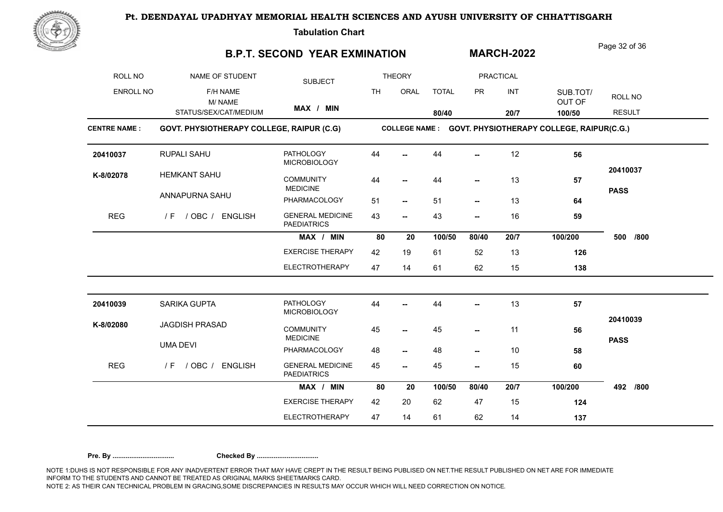

**Tabulation Chart** 

### **B.P.T. SECOND YEAR EXMINATION**

Page 32 of 36

**MARCH-2022**

| ROLL NO             | NAME OF STUDENT                           | <b>SUBJECT</b>                                |                                                          | <b>THEORY</b>            |              |                          | <b>PRACTICAL</b> |                    |               |  |  |  |
|---------------------|-------------------------------------------|-----------------------------------------------|----------------------------------------------------------|--------------------------|--------------|--------------------------|------------------|--------------------|---------------|--|--|--|
| <b>ENROLL NO</b>    | F/H NAME<br>M/NAME                        |                                               | <b>TH</b>                                                | ORAL                     | <b>TOTAL</b> | <b>PR</b>                | INT              | SUB.TOT/<br>OUT OF | ROLL NO       |  |  |  |
|                     | STATUS/SEX/CAT/MEDIUM                     | MAX / MIN                                     |                                                          |                          | 80/40        |                          | 20/7             | 100/50             | <b>RESULT</b> |  |  |  |
| <b>CENTRE NAME:</b> | GOVT. PHYSIOTHERAPY COLLEGE, RAIPUR (C.G) |                                               | COLLEGE NAME : GOVT. PHYSIOTHERAPY COLLEGE, RAIPUR(C.G.) |                          |              |                          |                  |                    |               |  |  |  |
| 20410037            | RUPALI SAHU                               | <b>PATHOLOGY</b><br><b>MICROBIOLOGY</b>       | 44                                                       |                          | 44           |                          | 12               | 56                 |               |  |  |  |
| K-8/02078           | <b>HEMKANT SAHU</b>                       | <b>COMMUNITY</b><br><b>MEDICINE</b>           | 44                                                       | $\overline{\phantom{a}}$ | 44           | --                       | 13               | 57                 | 20410037      |  |  |  |
|                     | ANNAPURNA SAHU                            | PHARMACOLOGY                                  | 51                                                       | $\overline{\phantom{a}}$ | 51           | $\overline{\phantom{a}}$ | 13               | 64                 | <b>PASS</b>   |  |  |  |
| <b>REG</b>          | / F / OBC / ENGLISH                       | <b>GENERAL MEDICINE</b><br><b>PAEDIATRICS</b> | 43                                                       | $\overline{\phantom{a}}$ | 43           | $\overline{\phantom{a}}$ | 16               | 59                 |               |  |  |  |
|                     |                                           | MAX / MIN                                     | 80                                                       | 20                       | 100/50       | 80/40                    | 20/7             | 100/200            | /800<br>500   |  |  |  |
|                     |                                           | <b>EXERCISE THERAPY</b>                       | 42                                                       | 19                       | 61           | 52                       | 13               | 126                |               |  |  |  |
|                     |                                           | <b>ELECTROTHERAPY</b>                         | 47                                                       | 14                       | 61           | 62                       | 15               | 138                |               |  |  |  |
| 20410039            | SARIKA GUPTA                              | <b>PATHOLOGY</b><br><b>MICROBIOLOGY</b>       | 44                                                       |                          | 44           | --                       | 13               | 57                 |               |  |  |  |
| K-8/02080           | <b>JAGDISH PRASAD</b>                     | <b>COMMUNITY</b><br><b>MEDICINE</b>           | 45                                                       | $\overline{\phantom{a}}$ | 45           | --                       | 11               | 56                 | 20410039      |  |  |  |
|                     | <b>UMA DEVI</b>                           | PHARMACOLOGY                                  | 48                                                       | $\overline{\phantom{a}}$ | 48           | --                       | 10               | 58                 | <b>PASS</b>   |  |  |  |
| <b>REG</b>          | / OBC / ENGLISH<br>/ F                    | <b>GENERAL MEDICINE</b><br><b>PAEDIATRICS</b> | 45                                                       | −−                       | 45           | --                       | 15               | 60                 |               |  |  |  |
|                     |                                           | MAX / MIN                                     | 80                                                       | 20                       | 100/50       | 80/40                    | 20/7             | 100/200            | 492<br>/800   |  |  |  |
|                     |                                           | <b>EXERCISE THERAPY</b>                       | 42                                                       | 20                       | 62           | 47                       | 15               | 124                |               |  |  |  |
|                     |                                           | <b>ELECTROTHERAPY</b>                         | 47                                                       | 14                       | 61           | 62                       | 14               | 137                |               |  |  |  |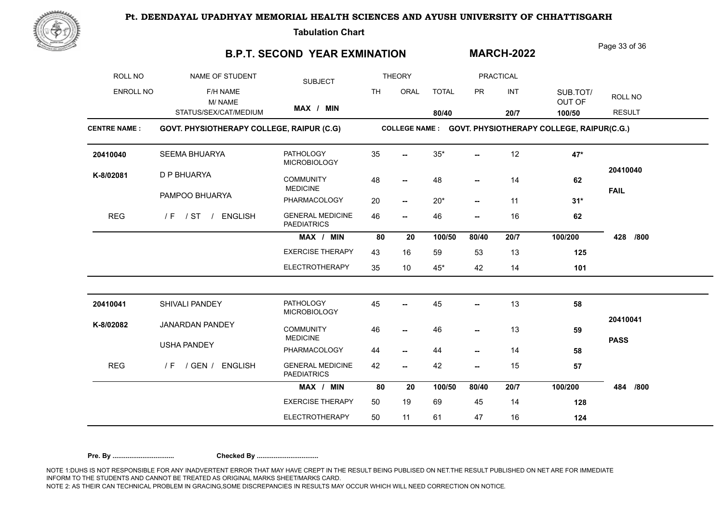

**Tabulation Chart** 

### **B.P.T. SECOND YEAR EXMINATION**

Page 33 of 36

**MARCH-2022**

| ROLL NO             | NAME OF STUDENT                           | <b>SUBJECT</b>                                |           | <b>THEORY</b>            |              |                          | <b>PRACTICAL</b> |                                                          |                         |
|---------------------|-------------------------------------------|-----------------------------------------------|-----------|--------------------------|--------------|--------------------------|------------------|----------------------------------------------------------|-------------------------|
| <b>ENROLL NO</b>    | F/H NAME<br>M/NAME                        |                                               | <b>TH</b> | ORAL                     | <b>TOTAL</b> | <b>PR</b>                | <b>INT</b>       | SUB.TOT/<br>OUT OF                                       | ROLL NO                 |
|                     | STATUS/SEX/CAT/MEDIUM                     | MAX / MIN                                     |           |                          | 80/40        |                          | 20/7             | 100/50                                                   | <b>RESULT</b>           |
| <b>CENTRE NAME:</b> | GOVT. PHYSIOTHERAPY COLLEGE, RAIPUR (C.G) |                                               |           |                          |              |                          |                  | COLLEGE NAME : GOVT. PHYSIOTHERAPY COLLEGE, RAIPUR(C.G.) |                         |
| 20410040            | SEEMA BHUARYA                             | <b>PATHOLOGY</b><br><b>MICROBIOLOGY</b>       | 35        |                          | $35*$        |                          | 12               | 47*                                                      |                         |
| K-8/02081           | D P BHUARYA                               | <b>COMMUNITY</b><br><b>MEDICINE</b>           | 48        | $\overline{\phantom{a}}$ | 48           | --                       | 14               | 62                                                       | 20410040<br><b>FAIL</b> |
|                     | PAMPOO BHUARYA                            | PHARMACOLOGY                                  | 20        | $\overline{\phantom{a}}$ | $20*$        | $\overline{\phantom{a}}$ | 11               | $31*$                                                    |                         |
| <b>REG</b>          | / F / ST / ENGLISH                        | <b>GENERAL MEDICINE</b><br><b>PAEDIATRICS</b> | 46        | $\overline{\phantom{a}}$ | 46           | --                       | 16               | 62                                                       |                         |
|                     |                                           | MAX / MIN                                     | 80        | 20                       | 100/50       | 80/40                    | 20/7             | 100/200                                                  | 428<br>/800             |
|                     |                                           | <b>EXERCISE THERAPY</b>                       | 43        | 16                       | 59           | 53                       | 13               | 125                                                      |                         |
|                     |                                           | <b>ELECTROTHERAPY</b>                         | 35        | 10                       | $45*$        | 42                       | 14               | 101                                                      |                         |
| 20410041            | SHIVALI PANDEY                            | <b>PATHOLOGY</b><br><b>MICROBIOLOGY</b>       | 45        |                          | 45           |                          | 13               | 58                                                       |                         |
| K-8/02082           | <b>JANARDAN PANDEY</b>                    | <b>COMMUNITY</b><br><b>MEDICINE</b>           | 46        | −−                       | 46           | --                       | 13               | 59                                                       | 20410041                |
|                     | <b>USHA PANDEY</b>                        | PHARMACOLOGY                                  | 44        | −−                       | 44           | --                       | 14               | 58                                                       | <b>PASS</b>             |
| <b>REG</b>          | / F / GEN / ENGLISH                       | <b>GENERAL MEDICINE</b><br><b>PAEDIATRICS</b> | 42        | $\overline{\phantom{a}}$ | 42           | $\overline{\phantom{a}}$ | 15               | 57                                                       |                         |
|                     |                                           | MAX / MIN                                     | 80        | 20                       | 100/50       | 80/40                    | 20/7             | 100/200                                                  | 484<br>/800             |
|                     |                                           | <b>EXERCISE THERAPY</b>                       | 50        | 19                       | 69           | 45                       | 14               | 128                                                      |                         |
|                     |                                           | <b>ELECTROTHERAPY</b>                         | 50        | 11                       | 61           | 47                       | 16               | 124                                                      |                         |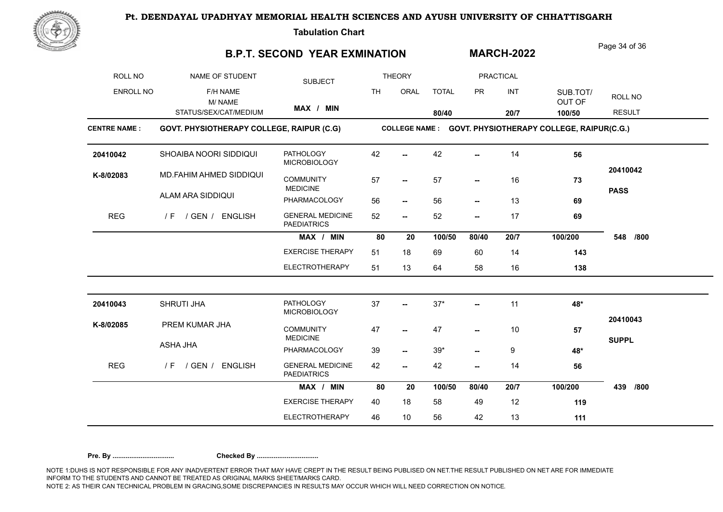Page 34 of 36



**Tabulation Chart** 

#### **B.P.T. SECOND YEAR EXMINATION 80/40 COLLEGE NAME : GOVT. PHYSIOTHERAPY COLLEGE, RAIPUR (C.G) GOVT. PHYSIOTHERAPY COLLEGE, RAIPUR(C.G.)** ROLL NO NAME OF STUDENT ENROLL NO F/H NAME STATUS/SEX/CAT/MEDIUM SUBJECT **THEORY** th oral total pr int sub.tot/ <sub>poll</sub> PRACTICAL **MAX / MIN** OUT OF ROLL NO<br>OUT OF RESULT **100/50** M/ NAME CENTRE NAME : GOVT. PHYSIOTHERAPY COLLEGE, RAIPUR (C.G) **20/7 MARCH-2022** GENERAL MEDICINE 52 --PAEDIATRICS PATHOLOGY 42 -MICROBIOLOGY COMMUNITY MEDICINE PHARMACOLOGY 56 EXERCISE THERAPY 51 18 69 ELECTROTHERAPY 51 13 64 **MAX / MIN** 80 20 100/50 80/40 20/7 **-- -- -- -- -- -- -- -- 80 20 80/40 20/7 100/200 /800** REG / F / GEN / ENGLISH GENERAL MEDICINE **K-8/02083** MD.FAHIM AHMED SIDDIQUI SHOAIBA NOORI SIDDIQUI **20410042** ALAM ARA SIDDIQUI **20410042** 42 42 14 **56** 57 **- 57 - 16 73** 56 56 13 **69** 52 52 17 **69** 51 18 69 60 14 **143** 51 13 64 58 16 **138 548 PASS** 57 GENERAL MEDICINE 42 -PAEDIATRICS PATHOLOGY 37 -MICROBIOLOGY COMMUNITY MEDICINE PHARMACOLOGY 39 EXERCISE THERAPY 40 18 58 MAX / MIN 80 20 100/50 80/40 20/7 **-- --** 47 39\* **-- -- -- -- 80 20 80/40 20/7 100/200 /800** REG / F / GEN / ENGLISH GENERAL MEDICINE **K-8/02085** PREM KUMAR JHA SHRUTI JHA **20410043** ASHA JHA **20410043** 37 37\* 11 **48\*** 47 10 **57** 39 39\* 9 **48\*** 42 42 14 **56** 40 18 58 49 12 **119 439 SUPPL** 47 - 10

NOTE 1:DUHS IS NOT RESPONSIBLE FOR ANY INADVERTENT ERROR THAT MAY HAVE CREPT IN THE RESULT BEING PUBLISED ON NET.THE RESULT PUBLISHED ON NET ARE FOR IMMEDIATE INFORM TO THE STUDENTS AND CANNOT BE TREATED AS ORIGINAL MARKS SHEET/MARKS CARD. NOTE 2: AS THEIR CAN TECHNICAL PROBLEM IN GRACING,SOME DISCREPANCIES IN RESULTS MAY OCCUR WHICH WILL NEED CORRECTION ON NOTICE. **Pre. By ................................. Checked By .................................**

ELECTROTHERAPY 46 10 56

46 10 56 42 13 **111**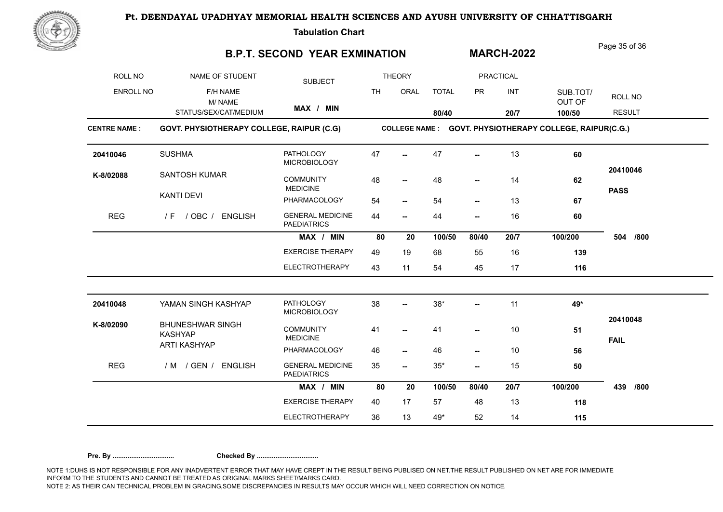

**Tabulation Chart** 

### **B.P.T. SECOND YEAR EXMINATION**

Page 35 of 36

**MARCH-2022**

| ROLL NO             | NAME OF STUDENT                           | <b>SUBJECT</b>                                |                                                          | <b>THEORY</b>            |              |                          | <b>PRACTICAL</b> |                    |                         |  |  |  |
|---------------------|-------------------------------------------|-----------------------------------------------|----------------------------------------------------------|--------------------------|--------------|--------------------------|------------------|--------------------|-------------------------|--|--|--|
| <b>ENROLL NO</b>    | F/H NAME<br>M/NAME                        |                                               | <b>TH</b>                                                | ORAL                     | <b>TOTAL</b> | <b>PR</b>                | INT              | SUB.TOT/<br>OUT OF | ROLL NO                 |  |  |  |
|                     | STATUS/SEX/CAT/MEDIUM                     | MAX / MIN                                     |                                                          |                          | 80/40        |                          | 20/7             | 100/50             | <b>RESULT</b>           |  |  |  |
| <b>CENTRE NAME:</b> | GOVT. PHYSIOTHERAPY COLLEGE, RAIPUR (C.G) |                                               | COLLEGE NAME : GOVT. PHYSIOTHERAPY COLLEGE, RAIPUR(C.G.) |                          |              |                          |                  |                    |                         |  |  |  |
| 20410046            | <b>SUSHMA</b>                             | <b>PATHOLOGY</b><br><b>MICROBIOLOGY</b>       | 47                                                       | $\overline{\phantom{a}}$ | 47           | $\overline{\phantom{a}}$ | 13               | 60                 |                         |  |  |  |
| K-8/02088           | <b>SANTOSH KUMAR</b>                      | <b>COMMUNITY</b>                              | 48                                                       | $\overline{\phantom{a}}$ | 48           | --                       | 14               | 62                 | 20410046                |  |  |  |
|                     | <b>KANTI DEVI</b>                         | <b>MEDICINE</b><br>PHARMACOLOGY               | 54                                                       | $\overline{\phantom{a}}$ | 54           | $\overline{\phantom{a}}$ | 13               | 67                 | <b>PASS</b>             |  |  |  |
| <b>REG</b>          | / F / OBC / ENGLISH                       | <b>GENERAL MEDICINE</b><br><b>PAEDIATRICS</b> | 44                                                       | --                       | 44           | $\overline{\phantom{a}}$ | 16               | 60                 |                         |  |  |  |
|                     |                                           | MAX / MIN                                     | 80                                                       | 20                       | 100/50       | 80/40                    | 20/7             | 100/200            | 504<br>/800             |  |  |  |
|                     |                                           | <b>EXERCISE THERAPY</b>                       | 49                                                       | 19                       | 68           | 55                       | 16               | 139                |                         |  |  |  |
|                     |                                           | <b>ELECTROTHERAPY</b>                         | 43                                                       | 11                       | 54           | 45                       | 17               | 116                |                         |  |  |  |
| 20410048            | YAMAN SINGH KASHYAP                       | <b>PATHOLOGY</b><br><b>MICROBIOLOGY</b>       | 38                                                       | --                       | $38^{\star}$ | --                       | 11               | 49*                |                         |  |  |  |
| K-8/02090           | <b>BHUNESHWAR SINGH</b><br><b>KASHYAP</b> | <b>COMMUNITY</b><br><b>MEDICINE</b>           | 41                                                       | $\overline{\phantom{a}}$ | 41           | --                       | 10               | 51                 | 20410048<br><b>FAIL</b> |  |  |  |
|                     | <b>ARTI KASHYAP</b>                       | PHARMACOLOGY                                  | 46                                                       | $\overline{\phantom{a}}$ | 46           | --                       | 10               | 56                 |                         |  |  |  |
| <b>REG</b>          | / M / GEN / ENGLISH                       | <b>GENERAL MEDICINE</b><br><b>PAEDIATRICS</b> | 35                                                       | $\overline{\phantom{a}}$ | $35*$        | --                       | 15               | 50                 |                         |  |  |  |
|                     |                                           | MAX / MIN                                     | 80                                                       | 20                       | 100/50       | 80/40                    | 20/7             | 100/200            | /800<br>439             |  |  |  |
|                     |                                           | <b>EXERCISE THERAPY</b>                       | 40                                                       | 17                       | 57           | 48                       | 13               | 118                |                         |  |  |  |
|                     |                                           | <b>ELECTROTHERAPY</b>                         | 36                                                       | 13                       | 49*          | 52                       | 14               | 115                |                         |  |  |  |